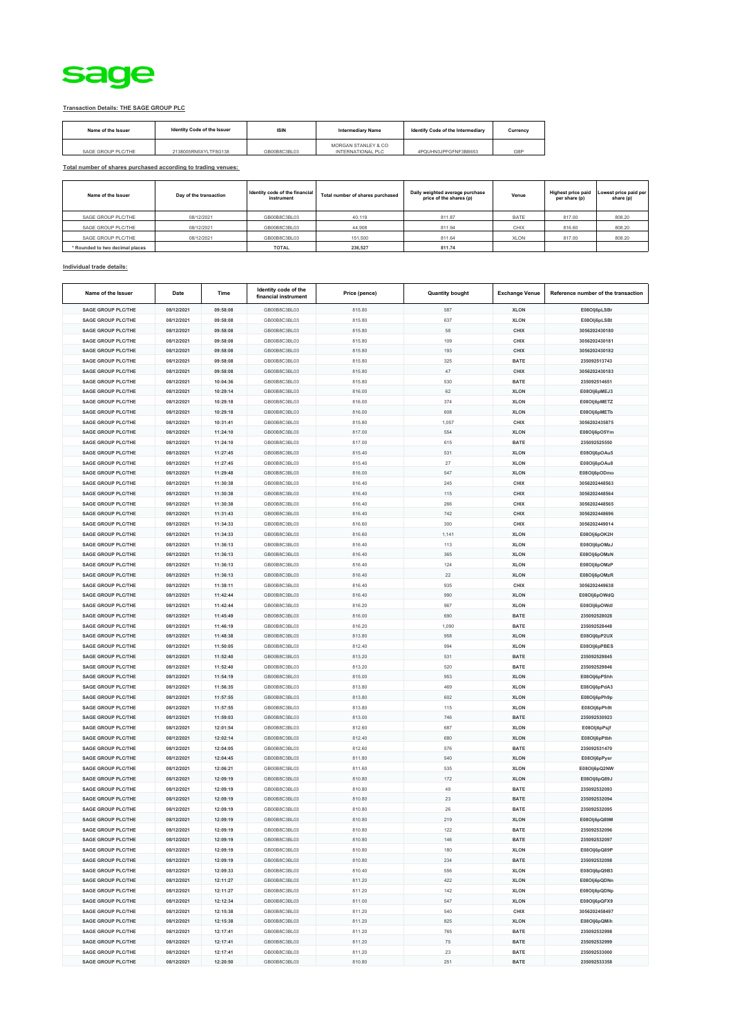

## **Transaction Details: THE SAGE GROUP PLC**

| Name of the Issuer | Identity Code of the Issuer | <b>ISIN</b>  | <b>Intermediary Name</b>                 | Identify Code of the Intermediary | Currency |
|--------------------|-----------------------------|--------------|------------------------------------------|-----------------------------------|----------|
| SAGE GROUP PLC/THE | 2138005RN5XYLTF8G138        | GB00B8C3BL03 | MORGAN STANLEY & CO<br>INTERNATIONAL PLC | 4PQUHN3JPFGFNF3BB653              | GBP      |

**Total number of shares purchased according to trading venues:**

| Name of the Issuer              | Day of the transaction | Identity code of the financial<br>instrument | Total number of shares purchased | Daily weighted average purchase<br>price of the shares (p) | Venue       | <b>Highest price paid</b><br>per share (p) | Lowest price paid per<br>share (p) |
|---------------------------------|------------------------|----------------------------------------------|----------------------------------|------------------------------------------------------------|-------------|--------------------------------------------|------------------------------------|
| SAGE GROUP PLC/THE              | 08/12/2021             | GB00B8C3BL03                                 | 40.119                           | 811.87                                                     | <b>BATE</b> | 817.00                                     | 808.20                             |
| SAGE GROUP PLC/THE              | 08/12/2021             | GB00B8C3BL03                                 | 44,908                           | 811.94                                                     | CHIX        | 816.60                                     | 808.20                             |
| SAGE GROUP PLC/THE              | 08/12/2021             | GB00B8C3BL03                                 | 151,500                          | 811.64                                                     | <b>XLON</b> | 817.00                                     | 808.20                             |
| * Rounded to two decimal places |                        | <b>TOTAL</b>                                 | 236,527                          | 811.74                                                     |             |                                            |                                    |

## **Individual trade details:**

| Name of the Issuer        | Date       | Time     | Identity code of the<br>financial instrument | Price (pence) | <b>Quantity bought</b> | <b>Exchange Venue</b> | Reference number of the transaction |
|---------------------------|------------|----------|----------------------------------------------|---------------|------------------------|-----------------------|-------------------------------------|
| <b>SAGE GROUP PLC/THE</b> | 08/12/2021 | 09:58:08 | GB00B8C3BL03                                 | 815.80        | 587                    | <b>XLON</b>           | E08Olj6pLSBr                        |
| <b>SAGE GROUP PLC/THE</b> | 08/12/2021 | 09:58:08 | GB00B8C3BL03                                 | 815.80        | 637                    | <b>XLON</b>           | E08Olj6pLSBt                        |
| SAGE GROUP PLC/THE        | 08/12/2021 | 09:58:08 | GB00B8C3BL03                                 | 815.80        | 58                     | CHIX                  | 3056202430180                       |
| <b>SAGE GROUP PLC/THE</b> | 08/12/2021 | 09:58:08 | GB00B8C3BL03                                 | 815.80        | 109                    | CHIX                  | 3056202430181                       |
| <b>SAGE GROUP PLC/THE</b> | 08/12/2021 | 09:58:08 | GB00B8C3BL03                                 | 815.80        | 193                    | CHIX                  | 3056202430182                       |
| <b>SAGE GROUP PLC/THE</b> | 08/12/2021 | 09:58:08 | GB00B8C3BL03                                 | 815.80        | 325                    | <b>BATE</b>           | 235092513743                        |
| <b>SAGE GROUP PLC/THE</b> | 08/12/2021 | 09:58:08 | GB00B8C3BL03                                 | 815.80        | 47                     | CHIX                  | 3056202430183                       |
| <b>SAGE GROUP PLC/THE</b> | 08/12/2021 | 10:04:36 | GB00B8C3BL03                                 | 815.80        | 530                    | <b>BATE</b>           | 235092514651                        |
| <b>SAGE GROUP PLC/THE</b> | 08/12/2021 | 10:29:14 | GB00B8C3BL03                                 | 816.00        | 62                     | <b>XLON</b>           | E08Olj6pMEJ3                        |
| <b>SAGE GROUP PLC/THE</b> | 08/12/2021 | 10:29:18 | GB00B8C3BL03                                 | 816.00        | 374                    | <b>XLON</b>           | E08Olj6pMETZ                        |
| <b>SAGE GROUP PLC/THE</b> | 08/12/2021 | 10:29:18 | GB00B8C3BL03                                 | 816.00        | 608                    | <b>XLON</b>           | E08Olj6pMETb                        |
| <b>SAGE GROUP PLC/THE</b> | 08/12/2021 | 10:31:41 | GB00B8C3BL03                                 | 815.80        | 1,057                  | CHIX                  | 3056202435875                       |
| SAGE GROUP PLC/THE        | 08/12/2021 | 11:24:10 | GB00B8C3BL03                                 | 817.00        | 554                    | <b>XLON</b>           | E08Olj6pO5Ym                        |
| <b>SAGE GROUP PLC/THE</b> | 08/12/2021 | 11:24:10 | GB00B8C3BL03                                 | 817.00        | 615                    | <b>BATE</b>           | 235092525550                        |
| <b>SAGE GROUP PLC/THE</b> | 08/12/2021 | 11:27:45 | GB00B8C3BL03                                 | 815.40        | 531                    | <b>XLON</b>           | E08Olj6pOAu5                        |
| <b>SAGE GROUP PLC/THE</b> | 08/12/2021 | 11:27:45 | GB00B8C3BL03                                 | 815.40        | 27                     | <b>XLON</b>           | E08Olj6pOAu8                        |
| <b>SAGE GROUP PLC/THE</b> | 08/12/2021 | 11:29:48 | GB00B8C3BL03                                 | 816.00        | 547                    | <b>XLON</b>           | E08Olj6pODmo                        |
| <b>SAGE GROUP PLC/THE</b> | 08/12/2021 | 11:30:38 | GB00B8C3BL03                                 | 816.40        | 245                    | CHIX                  | 3056202448563                       |
| <b>SAGE GROUP PLC/THE</b> | 08/12/2021 | 11:30:38 | GB00B8C3BL03                                 | 816.40        | 115                    | CHIX                  | 3056202448564                       |
| <b>SAGE GROUP PLC/THE</b> | 08/12/2021 | 11:30:38 | GB00B8C3BL03                                 | 816.40        | 266                    | CHIX                  | 3056202448565                       |
| <b>SAGE GROUP PLC/THE</b> | 08/12/2021 | 11:31:43 | GB00B8C3BL03                                 | 816.40        | 742                    | CHIX                  | 3056202448696                       |
| <b>SAGE GROUP PLC/THE</b> | 08/12/2021 | 11:34:33 | GB00B8C3BL03                                 | 816.60        | 300                    | CHIX                  | 3056202449014                       |
| <b>SAGE GROUP PLC/THE</b> | 08/12/2021 | 11:34:33 | GB00B8C3BL03                                 | 816.60        | 1,141                  | <b>XLON</b>           | E08Olj6pOK2H                        |
| <b>SAGE GROUP PLC/THE</b> | 08/12/2021 | 11:36:13 | GB00B8C3BL03                                 | 816.40        | 113                    | <b>XLON</b>           | E08Olj6pOMzJ                        |
| <b>SAGE GROUP PLC/THE</b> | 08/12/2021 | 11:36:13 | GB00B8C3BL03                                 | 816.40        | 365                    | <b>XLON</b>           | E08Olj6pOMzN                        |
| <b>SAGE GROUP PLC/THE</b> | 08/12/2021 | 11:36:13 | GB00B8C3BL03                                 | 816.40        | 124                    | <b>XLON</b>           | E08Olj6pOMzP                        |
| <b>SAGE GROUP PLC/THE</b> | 08/12/2021 | 11:36:13 | GB00B8C3BL03                                 | 816.40        | 22                     | <b>XLON</b>           | E08Olj6pOMzR                        |
| SAGE GROUP PLC/THE        | 08/12/2021 | 11:38:11 | GB00B8C3BL03                                 | 816.40        | 935                    | CHIX                  | 3056202449638                       |
| <b>SAGE GROUP PLC/THE</b> | 08/12/2021 | 11:42:44 | GB00B8C3BL03                                 | 816.40        | 990                    | <b>XLON</b>           | E08Olj6pOWdQ                        |
| <b>SAGE GROUP PLC/THE</b> | 08/12/2021 | 11:42:44 | GB00B8C3BL03                                 | 816.20        | 967                    | <b>XLON</b>           | E08Olj6pOWdl                        |
| <b>SAGE GROUP PLC/THE</b> | 08/12/2021 | 11:45:49 | GB00B8C3BL03                                 | 816.00        | 690                    | <b>BATE</b>           | 235092528028                        |
| <b>SAGE GROUP PLC/THE</b> | 08/12/2021 | 11:46:19 | GB00B8C3BL03                                 | 816.20        | 1,090                  | <b>BATE</b>           | 235092528448                        |
| <b>SAGE GROUP PLC/THE</b> | 08/12/2021 | 11:48:38 | GB00B8C3BL03                                 | 813.80        | 958                    | <b>XLON</b>           | E08Olj6pP2UX                        |
| <b>SAGE GROUP PLC/THE</b> | 08/12/2021 | 11:50:05 | GB00B8C3BL03                                 | 812.40        | 994                    | <b>XLON</b>           | E08Olj6pPBES                        |
| <b>SAGE GROUP PLC/THE</b> | 08/12/2021 | 11:52:40 | GB00B8C3BL03                                 | 813.20        | 531                    | <b>BATE</b>           | 235092529845                        |
| <b>SAGE GROUP PLC/THE</b> | 08/12/2021 | 11:52:40 | GB00B8C3BL03                                 | 813.20        | 520                    | <b>BATE</b>           | 235092529846                        |
| <b>SAGE GROUP PLC/THE</b> | 08/12/2021 | 11:54:19 | GB00B8C3BL03                                 | 815.00        | 953                    | <b>XLON</b>           | E08Olj6pPShh                        |
| <b>SAGE GROUP PLC/THE</b> | 08/12/2021 | 11:56:35 | GB00B8C3BL03                                 | 813.80        | 469                    | <b>XLON</b>           | E08Olj6pPdA3                        |
| <b>SAGE GROUP PLC/THE</b> | 08/12/2021 | 11:57:55 | GB00B8C3BL03                                 | 813.80        | 602                    | <b>XLON</b>           | E08Olj6pPh9p                        |
| <b>SAGE GROUP PLC/THE</b> | 08/12/2021 | 11:57:55 | GB00B8C3BL03                                 | 813.80        | 115                    | <b>XLON</b>           | E08OIj6pPh9t                        |
| <b>SAGE GROUP PLC/THE</b> | 08/12/2021 | 11:59:03 | GB00B8C3BL03                                 | 813.00        | 746                    | <b>BATE</b>           | 235092530923                        |
| <b>SAGE GROUP PLC/THE</b> | 08/12/2021 | 12:01:54 | GB00B8C3BL03                                 | 812.60        | 687                    | <b>XLON</b>           | E08OIj6pPsjf                        |
| <b>SAGE GROUP PLC/THE</b> | 08/12/2021 | 12:02:14 | GB00B8C3BL03                                 | 812.40        | 680                    | <b>XLON</b>           | E08Olj6pPtbh                        |
| <b>SAGE GROUP PLC/THE</b> | 08/12/2021 | 12:04:05 | GB00B8C3BL03                                 | 812.60        | 576                    | <b>BATE</b>           | 235092531470                        |
| <b>SAGE GROUP PLC/THE</b> | 08/12/2021 | 12:04:45 | GB00B8C3BL03                                 | 811.80        | 540                    | <b>XLON</b>           | E08Olj6pPyer                        |
| <b>SAGE GROUP PLC/THE</b> | 08/12/2021 | 12:06:21 | GB00B8C3BL03                                 | 811.60        | 535                    | <b>XLON</b>           | E08Olj6pQ2NW                        |
| SAGE GROUP PLC/THE        | 08/12/2021 | 12:09:19 | GB00B8C3BL03                                 | 810.80        | 172                    | <b>XLON</b>           | E08Olj6pQ89J                        |
| <b>SAGE GROUP PLC/THE</b> | 08/12/2021 | 12:09:19 | GB00B8C3BL03                                 | 810.80        | 49                     | <b>BATE</b>           | 235092532093                        |
| <b>SAGE GROUP PLC/THE</b> | 08/12/2021 | 12:09:19 | GB00B8C3BL03                                 | 810.80        | 23                     | <b>BATE</b>           | 235092532094                        |
| <b>SAGE GROUP PLC/THE</b> | 08/12/2021 | 12:09:19 | GB00B8C3BL03                                 | 810.80        | 26                     | <b>BATE</b>           | 235092532095                        |
| <b>SAGE GROUP PLC/THE</b> | 08/12/2021 | 12:09:19 | GB00B8C3BL03                                 | 810.80        | 219                    | <b>XLON</b>           | E08Olj6pQ89M                        |
| <b>SAGE GROUP PLC/THE</b> | 08/12/2021 | 12:09:19 | GB00B8C3BL03                                 | 810.80        | 122                    | <b>BATE</b>           | 235092532096                        |
| <b>SAGE GROUP PLC/THE</b> | 08/12/2021 | 12:09:19 | GB00B8C3BL03                                 | 810.80        | 146                    | <b>BATE</b>           | 235092532097                        |
| <b>SAGE GROUP PLC/THE</b> | 08/12/2021 | 12:09:19 | GB00B8C3BL03                                 | 810.80        | 180                    | <b>XLON</b>           | E08Olj6pQ89P                        |
| <b>SAGE GROUP PLC/THE</b> | 08/12/2021 | 12:09:19 | GB00B8C3BL03                                 | 810.80        | 234                    | <b>BATE</b>           | 235092532098                        |
| <b>SAGE GROUP PLC/THE</b> | 08/12/2021 | 12:09:33 | GB00B8C3BL03                                 | 810.40        | 556                    | <b>XLON</b>           | E08Olj6pQ9B3                        |
| <b>SAGE GROUP PLC/THE</b> | 08/12/2021 | 12:11:27 | GB00B8C3BL03                                 | 811.20        | 422                    | <b>XLON</b>           | E08Olj6pQDNn                        |
| <b>SAGE GROUP PLC/THE</b> | 08/12/2021 | 12:11:27 | GB00B8C3BL03                                 | 811.20        | 142                    | <b>XLON</b>           | E08Olj6pQDNp                        |
| <b>SAGE GROUP PLC/THE</b> | 08/12/2021 | 12:12:34 | GB00B8C3BL03                                 | 811.00        | 547                    | <b>XLON</b>           | E08Olj6pQFX9                        |
| <b>SAGE GROUP PLC/THE</b> | 08/12/2021 | 12:15:38 | GB00B8C3BL03                                 | 811.20        | 540                    | CHIX                  | 3056202458497                       |
| <b>SAGE GROUP PLC/THE</b> | 08/12/2021 | 12:15:38 | GB00B8C3BL03                                 | 811.20        | 825                    | <b>XLON</b>           | E08Olj6pQMih                        |
| <b>SAGE GROUP PLC/THE</b> | 08/12/2021 | 12:17:41 | GB00B8C3BL03                                 | 811.20        | 765                    | <b>BATE</b>           | 235092532998                        |
| <b>SAGE GROUP PLC/THE</b> | 08/12/2021 | 12:17:41 | GB00B8C3BL03                                 | 811.20        | 75                     | <b>BATE</b>           | 235092532999                        |
| <b>SAGE GROUP PLC/THE</b> | 08/12/2021 | 12:17:41 | GB00B8C3BL03                                 | 811.20        | 23                     | <b>BATE</b>           | 235092533000                        |
| <b>SAGE GROUP PLC/THE</b> | 08/12/2021 | 12:20:50 | GB00B8C3BL03                                 | 810.80        | 251                    | <b>BATE</b>           | 235092533358                        |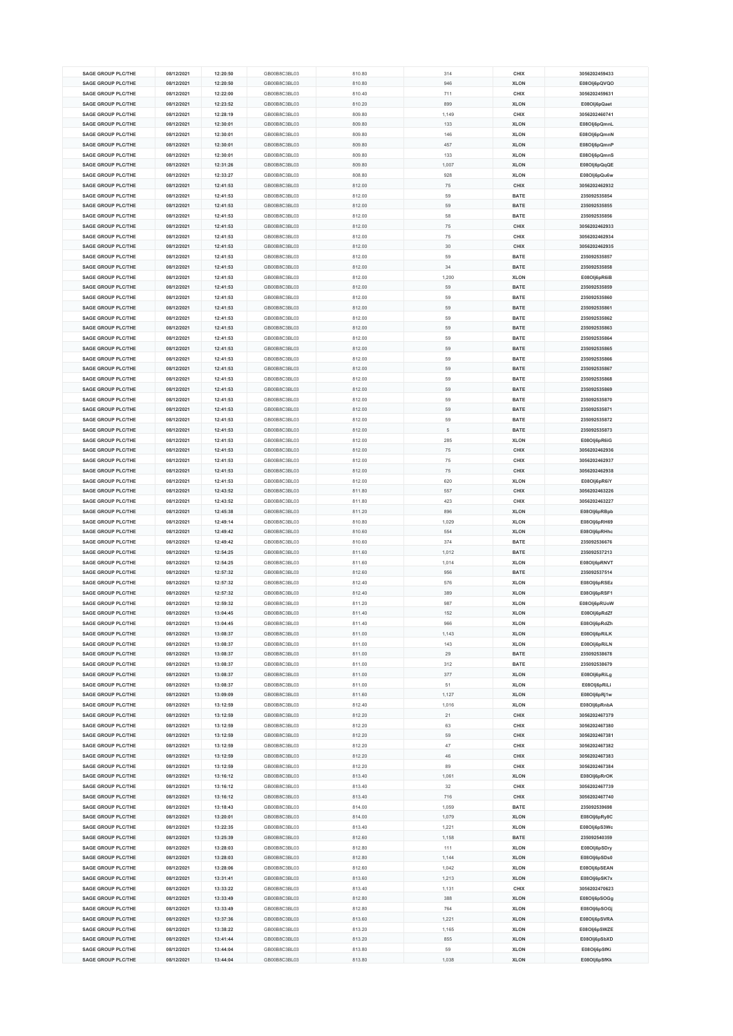| <b>SAGE GROUP PLC/THE</b> | 08/12/2021 | 12:20:50 | GB00B8C3BL03 | 810.80 | 314   | CHIX        | 3056202459433 |
|---------------------------|------------|----------|--------------|--------|-------|-------------|---------------|
| <b>SAGE GROUP PLC/THE</b> | 08/12/2021 | 12:20:50 | GB00B8C3BL03 | 810.80 | 946   | <b>XLON</b> | E08Olj6pQVQO  |
| <b>SAGE GROUP PLC/THE</b> | 08/12/2021 | 12:22:00 | GB00B8C3BL03 | 810.40 | 711   | CHIX        | 3056202459631 |
| <b>SAGE GROUP PLC/THE</b> | 08/12/2021 | 12:23:52 | GB00B8C3BL03 | 810.20 | 899   | <b>XLON</b> | E08Olj6pQaet  |
| <b>SAGE GROUP PLC/THE</b> | 08/12/2021 | 12:28:19 | GB00B8C3BL03 | 809.80 |       | CHIX        | 3056202460741 |
|                           |            |          |              |        | 1,149 |             |               |
| <b>SAGE GROUP PLC/THE</b> | 08/12/2021 | 12:30:01 | GB00B8C3BL03 | 809.80 | 133   | <b>XLON</b> | E08Olj6pQmnL  |
| SAGE GROUP PLC/THE        | 08/12/2021 | 12:30:01 | GB00B8C3BL03 | 809.80 | 146   | <b>XLON</b> | E08Olj6pQmnN  |
| <b>SAGE GROUP PLC/THE</b> | 08/12/2021 | 12:30:01 | GB00B8C3BL03 | 809.80 | 457   | <b>XLON</b> | E08Olj6pQmnP  |
| <b>SAGE GROUP PLC/THE</b> | 08/12/2021 | 12:30:01 | GB00B8C3BL03 | 809.80 | 133   | <b>XLON</b> | E08Olj6pQmnS  |
| <b>SAGE GROUP PLC/THE</b> | 08/12/2021 | 12:31:26 | GB00B8C3BL03 | 809.80 | 1,007 | <b>XLON</b> | E08Olj6pQqQE  |
| <b>SAGE GROUP PLC/THE</b> | 08/12/2021 | 12:33:27 | GB00B8C3BL03 | 808.80 | 928   | <b>XLON</b> | E08Olj6pQu6w  |
|                           |            |          |              |        |       |             |               |
| <b>SAGE GROUP PLC/THE</b> | 08/12/2021 | 12:41:53 | GB00B8C3BL03 | 812.00 | 75    | CHIX        | 3056202462932 |
| <b>SAGE GROUP PLC/THE</b> | 08/12/2021 | 12:41:53 | GB00B8C3BL03 | 812.00 | 59    | <b>BATE</b> | 235092535854  |
| <b>SAGE GROUP PLC/THE</b> | 08/12/2021 | 12:41:53 | GB00B8C3BL03 | 812.00 | 59    | <b>BATE</b> | 235092535855  |
| <b>SAGE GROUP PLC/THE</b> | 08/12/2021 | 12:41:53 | GB00B8C3BL03 | 812.00 | 58    | <b>BATE</b> | 235092535856  |
| <b>SAGE GROUP PLC/THE</b> | 08/12/2021 | 12:41:53 | GB00B8C3BL03 | 812.00 | 75    | CHIX        | 3056202462933 |
|                           | 08/12/2021 |          | GB00B8C3BL03 |        |       |             |               |
| <b>SAGE GROUP PLC/THE</b> |            | 12:41:53 |              | 812.00 | 75    | CHIX        | 3056202462934 |
| SAGE GROUP PLC/THE        | 08/12/2021 | 12:41:53 | GB00B8C3BL03 | 812.00 | 30    | CHIX        | 3056202462935 |
| <b>SAGE GROUP PLC/THE</b> | 08/12/2021 | 12:41:53 | GB00B8C3BL03 | 812.00 | 59    | <b>BATE</b> | 235092535857  |
| <b>SAGE GROUP PLC/THE</b> | 08/12/2021 | 12:41:53 | GB00B8C3BL03 | 812.00 | 34    | <b>BATE</b> | 235092535858  |
| <b>SAGE GROUP PLC/THE</b> | 08/12/2021 | 12:41:53 | GB00B8C3BL03 | 812.00 | 1,200 | <b>XLON</b> | E08Olj6pR6iB  |
| <b>SAGE GROUP PLC/THE</b> | 08/12/2021 | 12:41:53 | GB00B8C3BL03 | 812.00 | 59    | <b>BATE</b> | 235092535859  |
| <b>SAGE GROUP PLC/THE</b> | 08/12/2021 | 12:41:53 | GB00B8C3BL03 | 812.00 | 59    | <b>BATE</b> | 235092535860  |
|                           |            |          |              |        |       |             |               |
| <b>SAGE GROUP PLC/THE</b> | 08/12/2021 | 12:41:53 | GB00B8C3BL03 | 812.00 | 59    | <b>BATE</b> | 235092535861  |
| <b>SAGE GROUP PLC/THE</b> | 08/12/2021 | 12:41:53 | GB00B8C3BL03 | 812.00 | 59    | <b>BATE</b> | 235092535862  |
| <b>SAGE GROUP PLC/THE</b> | 08/12/2021 | 12:41:53 | GB00B8C3BL03 | 812.00 | 59    | <b>BATE</b> | 235092535863  |
| <b>SAGE GROUP PLC/THE</b> | 08/12/2021 | 12:41:53 | GB00B8C3BL03 | 812.00 | 59    | <b>BATE</b> | 235092535864  |
| <b>SAGE GROUP PLC/THE</b> | 08/12/2021 | 12:41:53 | GB00B8C3BL03 | 812.00 | 59    | <b>BATE</b> | 235092535865  |
| <b>SAGE GROUP PLC/THE</b> | 08/12/2021 | 12:41:53 | GB00B8C3BL03 | 812.00 | 59    | <b>BATE</b> | 235092535866  |
|                           |            |          |              |        |       |             |               |
| <b>SAGE GROUP PLC/THE</b> | 08/12/2021 | 12:41:53 | GB00B8C3BL03 | 812.00 | 59    | <b>BATE</b> | 235092535867  |
| <b>SAGE GROUP PLC/THE</b> | 08/12/2021 | 12:41:53 | GB00B8C3BL03 | 812.00 | 59    | <b>BATE</b> | 235092535868  |
| <b>SAGE GROUP PLC/THE</b> | 08/12/2021 | 12:41:53 | GB00B8C3BL03 | 812.00 | 59    | <b>BATE</b> | 235092535869  |
| <b>SAGE GROUP PLC/THE</b> | 08/12/2021 | 12:41:53 | GB00B8C3BL03 | 812.00 | 59    | <b>BATE</b> | 235092535870  |
| <b>SAGE GROUP PLC/THE</b> | 08/12/2021 | 12:41:53 | GB00B8C3BL03 | 812.00 | 59    | <b>BATE</b> | 235092535871  |
| <b>SAGE GROUP PLC/THE</b> | 08/12/2021 | 12:41:53 | GB00B8C3BL03 | 812.00 | 59    | <b>BATE</b> | 235092535872  |
| <b>SAGE GROUP PLC/THE</b> | 08/12/2021 | 12:41:53 | GB00B8C3BL03 | 812.00 | 5     | <b>BATE</b> | 235092535873  |
|                           |            |          |              |        |       |             |               |
| <b>SAGE GROUP PLC/THE</b> | 08/12/2021 | 12:41:53 | GB00B8C3BL03 | 812.00 | 285   | <b>XLON</b> | E08Olj6pR6iG  |
| <b>SAGE GROUP PLC/THE</b> | 08/12/2021 | 12:41:53 | GB00B8C3BL03 | 812.00 | 75    | CHIX        | 3056202462936 |
| <b>SAGE GROUP PLC/THE</b> | 08/12/2021 | 12:41:53 | GB00B8C3BL03 | 812.00 | 75    | CHIX        | 3056202462937 |
| <b>SAGE GROUP PLC/THE</b> | 08/12/2021 | 12:41:53 | GB00B8C3BL03 | 812.00 | 75    | CHIX        | 3056202462938 |
| <b>SAGE GROUP PLC/THE</b> | 08/12/2021 | 12:41:53 | GB00B8C3BL03 | 812.00 | 620   | <b>XLON</b> | E08Olj6pR6iY  |
| <b>SAGE GROUP PLC/THE</b> | 08/12/2021 | 12:43:52 | GB00B8C3BL03 | 811.80 | 557   | CHIX        | 3056202463226 |
|                           |            |          |              |        |       |             |               |
|                           |            |          |              |        |       |             |               |
| <b>SAGE GROUP PLC/THE</b> | 08/12/2021 | 12:43:52 | GB00B8C3BL03 | 811.80 | 423   | CHIX        | 3056202463227 |
| <b>SAGE GROUP PLC/THE</b> | 08/12/2021 | 12:45:38 | GB00B8C3BL03 | 811.20 | 896   | <b>XLON</b> | E08Olj6pRBpb  |
| <b>SAGE GROUP PLC/THE</b> | 08/12/2021 | 12:49:14 | GB00B8C3BL03 | 810.80 | 1,029 | <b>XLON</b> | E08Olj6pRH69  |
| <b>SAGE GROUP PLC/THE</b> | 08/12/2021 | 12:49:42 | GB00B8C3BL03 | 810.60 | 554   | <b>XLON</b> | E08Olj6pRHhc  |
| <b>SAGE GROUP PLC/THE</b> | 08/12/2021 | 12:49:42 | GB00B8C3BL03 | 810.60 | 374   | <b>BATE</b> | 235092536676  |
|                           |            |          |              |        |       |             |               |
| <b>SAGE GROUP PLC/THE</b> | 08/12/2021 | 12:54:25 | GB00B8C3BL03 | 811.60 | 1,012 | <b>BATE</b> | 235092537213  |
| <b>SAGE GROUP PLC/THE</b> | 08/12/2021 | 12:54:25 | GB00B8C3BL03 | 811.60 | 1,014 | <b>XLON</b> | E08Olj6pRNVT  |
| <b>SAGE GROUP PLC/THE</b> | 08/12/2021 | 12:57:32 | GB00B8C3BL03 | 812.60 | 956   | <b>BATE</b> | 235092537514  |
| <b>SAGE GROUP PLC/THE</b> | 08/12/2021 | 12:57:32 | GB00B8C3BL03 | 812.40 | 576   | <b>XLON</b> | E08Olj6pRSEz  |
| <b>SAGE GROUP PLC/THE</b> | 08/12/2021 | 12:57:32 | GB00B8C3BL03 | 812.40 | 389   | <b>XLON</b> | E08Olj6pRSF1  |
| <b>SAGE GROUP PLC/THE</b> | 08/12/2021 | 12:59:32 | GB00B8C3BL03 | 811.20 | 987   | <b>XLON</b> | E08Olj6pRUoW  |
| <b>SAGE GROUP PLC/THE</b> | 08/12/2021 | 13:04:45 | GB00B8C3BL03 | 811.40 | 152   | <b>XLON</b> | E08Olj6pRdZf  |
|                           |            |          |              |        |       |             |               |
| <b>SAGE GROUP PLC/THE</b> | 08/12/2021 | 13:04:45 | GB00B8C3BL03 | 811.40 | 966   | <b>XLON</b> | E08Olj6pRdZh  |
| <b>SAGE GROUP PLC/THE</b> | 08/12/2021 | 13:08:37 | GB00B8C3BL03 | 811.00 | 1,143 | <b>XLON</b> | E08Olj6pRiLK  |
| <b>SAGE GROUP PLC/THE</b> | 08/12/2021 | 13:08:37 | GB00B8C3BL03 | 811.00 | 143   | <b>XLON</b> | E08Olj6pRiLN  |
| <b>SAGE GROUP PLC/THE</b> | 08/12/2021 | 13:08:37 | GB00B8C3BL03 | 811.00 | 29    | <b>BATE</b> | 235092538678  |
| <b>SAGE GROUP PLC/THE</b> | 08/12/2021 | 13:08:37 | GB00B8C3BL03 | 811.00 | 312   | <b>BATE</b> | 235092538679  |
| <b>SAGE GROUP PLC/THE</b> | 08/12/2021 | 13:08:37 | GB00B8C3BL03 | 811.00 | 377   | <b>XLON</b> | E08Olj6pRiLg  |
| <b>SAGE GROUP PLC/THE</b> | 08/12/2021 | 13:08:37 | GB00B8C3BL03 | 811.00 | 51    | <b>XLON</b> | E08Olj6pRiLi  |
| <b>SAGE GROUP PLC/THE</b> |            |          |              |        |       |             |               |
|                           | 08/12/2021 | 13:09:09 | GB00B8C3BL03 | 811.60 | 1,127 | <b>XLON</b> | E08Olj6pRj1w  |
| <b>SAGE GROUP PLC/THE</b> | 08/12/2021 | 13:12:59 | GB00B8C3BL03 | 812.40 | 1,016 | <b>XLON</b> | E08Olj6pRnbA  |
| SAGE GROUP PLC/THE        | 08/12/2021 | 13:12:59 | GB00B8C3BL03 | 812.20 | 21    | CHIX        | 3056202467379 |
| <b>SAGE GROUP PLC/THE</b> | 08/12/2021 | 13:12:59 | GB00B8C3BL03 | 812.20 | 63    | CHIX        | 3056202467380 |
| <b>SAGE GROUP PLC/THE</b> | 08/12/2021 | 13:12:59 | GB00B8C3BL03 | 812.20 | 59    | CHIX        | 3056202467381 |
| <b>SAGE GROUP PLC/THE</b> | 08/12/2021 | 13:12:59 | GB00B8C3BL03 | 812.20 | 47    | CHIX        | 3056202467382 |
| SAGE GROUP PLC/THE        | 08/12/2021 | 13:12:59 | GB00B8C3BL03 | 812.20 | 46    | CHIX        | 3056202467383 |
|                           |            |          |              |        |       |             |               |
| <b>SAGE GROUP PLC/THE</b> | 08/12/2021 | 13:12:59 | GB00B8C3BL03 | 812.20 | 89    | CHIX        | 3056202467384 |
| <b>SAGE GROUP PLC/THE</b> | 08/12/2021 | 13:16:12 | GB00B8C3BL03 | 813.40 | 1,061 | <b>XLON</b> | E08Olj6pRrOK  |
| <b>SAGE GROUP PLC/THE</b> | 08/12/2021 | 13:16:12 | GB00B8C3BL03 | 813.40 | 32    | CHIX        | 3056202467739 |
| <b>SAGE GROUP PLC/THE</b> | 08/12/2021 | 13:16:12 | GB00B8C3BL03 | 813.40 | 716   | CHIX        | 3056202467740 |
| <b>SAGE GROUP PLC/THE</b> | 08/12/2021 | 13:18:43 | GB00B8C3BL03 | 814.00 | 1,059 | <b>BATE</b> | 235092539698  |
| <b>SAGE GROUP PLC/THE</b> | 08/12/2021 | 13:20:01 | GB00B8C3BL03 | 814.00 | 1,079 | <b>XLON</b> | E08Olj6pRy8C  |
| <b>SAGE GROUP PLC/THE</b> | 08/12/2021 | 13:22:35 | GB00B8C3BL03 | 813.40 | 1,221 | <b>XLON</b> | E08Olj6pS3Wc  |
|                           |            |          |              |        |       | <b>BATE</b> |               |
| <b>SAGE GROUP PLC/THE</b> | 08/12/2021 | 13:25:39 | GB00B8C3BL03 | 812.60 | 1,158 |             | 235092540359  |
| <b>SAGE GROUP PLC/THE</b> | 08/12/2021 | 13:28:03 | GB00B8C3BL03 | 812.80 | 111   | <b>XLON</b> | E08Olj6pSDry  |
| <b>SAGE GROUP PLC/THE</b> | 08/12/2021 | 13:28:03 | GB00B8C3BL03 | 812.80 | 1,144 | <b>XLON</b> | E08Olj6pSDs0  |
| <b>SAGE GROUP PLC/THE</b> | 08/12/2021 | 13:28:06 | GB00B8C3BL03 | 812.60 | 1,042 | <b>XLON</b> | E08Olj6pSEAN  |
| <b>SAGE GROUP PLC/THE</b> | 08/12/2021 | 13:31:41 | GB00B8C3BL03 | 813.60 | 1,213 | <b>XLON</b> | E08Olj6pSK7x  |
| <b>SAGE GROUP PLC/THE</b> | 08/12/2021 | 13:33:22 | GB00B8C3BL03 | 813.40 | 1,131 | CHIX        | 3056202470623 |
| <b>SAGE GROUP PLC/THE</b> | 08/12/2021 | 13:33:49 | GB00B8C3BL03 | 812.80 | 388   | <b>XLON</b> | E08Olj6pSOGg  |
|                           |            |          |              |        |       |             |               |
| <b>SAGE GROUP PLC/THE</b> | 08/12/2021 | 13:33:49 | GB00B8C3BL03 | 812.80 | 764   | <b>XLON</b> | E08Olj6pSOGj  |
| <b>SAGE GROUP PLC/THE</b> | 08/12/2021 | 13:37:36 | GB00B8C3BL03 | 813.60 | 1,221 | <b>XLON</b> | E08Olj6pSVRA  |
| <b>SAGE GROUP PLC/THE</b> | 08/12/2021 | 13:38:22 | GB00B8C3BL03 | 813.20 | 1,165 | <b>XLON</b> | E08Olj6pSWZE  |
| <b>SAGE GROUP PLC/THE</b> | 08/12/2021 | 13:41:44 | GB00B8C3BL03 | 813.20 | 855   | <b>XLON</b> | E08Olj6pSbXD  |
| <b>SAGE GROUP PLC/THE</b> | 08/12/2021 | 13:44:04 | GB00B8C3BL03 | 813.80 | 59    | <b>XLON</b> | E08Olj6pSfKi  |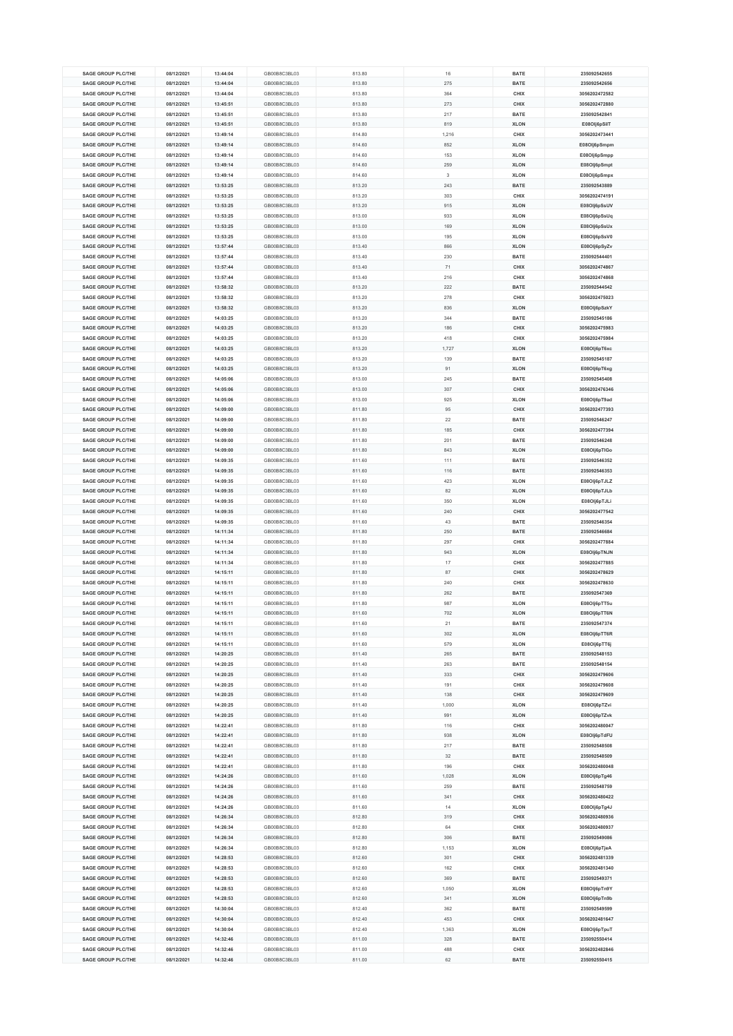| <b>SAGE GROUP PLC/THE</b><br>08/12/2021<br>13:44:04<br>GB00B8C3BL03<br>813.80<br>16<br>08/12/2021<br><b>SAGE GROUP PLC/THE</b><br>13:44:04<br>GB00B8C3BL03<br>813.80<br>275<br><b>SAGE GROUP PLC/THE</b><br>08/12/2021<br>13:44:04<br>GB00B8C3BL03<br>813.80<br>364 | <b>BATE</b><br>235092542655 |  |
|---------------------------------------------------------------------------------------------------------------------------------------------------------------------------------------------------------------------------------------------------------------------|-----------------------------|--|
|                                                                                                                                                                                                                                                                     |                             |  |
|                                                                                                                                                                                                                                                                     | 235092542656<br><b>BATE</b> |  |
|                                                                                                                                                                                                                                                                     | CHIX<br>3056202472582       |  |
| <b>SAGE GROUP PLC/THE</b><br>08/12/2021<br>GB00B8C3BL03<br>13:45:51<br>813.80<br>273                                                                                                                                                                                | CHIX<br>3056202472880       |  |
| <b>SAGE GROUP PLC/THE</b><br>08/12/2021<br>13:45:51<br>GB00B8C3BL03<br>813.80<br>217                                                                                                                                                                                | 235092542841<br><b>BATE</b> |  |
|                                                                                                                                                                                                                                                                     |                             |  |
| <b>SAGE GROUP PLC/THE</b><br>08/12/2021<br>GB00B8C3BL03<br>13:45:51<br>813.80<br>819                                                                                                                                                                                | E08Olj6pSilT<br><b>XLON</b> |  |
| <b>SAGE GROUP PLC/THE</b><br>08/12/2021<br>13:49:14<br>GB00B8C3BL03<br>814.80<br>1,216                                                                                                                                                                              | 3056202473441<br>CHIX       |  |
| <b>SAGE GROUP PLC/THE</b><br>08/12/2021<br>13:49:14<br>GB00B8C3BL03<br>814.60<br>852                                                                                                                                                                                | <b>XLON</b><br>E08Olj6pSmpm |  |
| <b>SAGE GROUP PLC/THE</b><br>08/12/2021<br>13:49:14<br>GB00B8C3BL03<br>814.60<br>153                                                                                                                                                                                | <b>XLON</b><br>E08Olj6pSmpp |  |
| <b>SAGE GROUP PLC/THE</b><br>08/12/2021<br>13:49:14<br>GB00B8C3BL03<br>814.60<br>259                                                                                                                                                                                | E08Olj6pSmpt<br><b>XLON</b> |  |
|                                                                                                                                                                                                                                                                     |                             |  |
| 08/12/2021<br><b>SAGE GROUP PLC/THE</b><br>13:49:14<br>GB00B8C3BL03<br>814.60<br>3                                                                                                                                                                                  | <b>XLON</b><br>E08Olj6pSmpx |  |
| <b>SAGE GROUP PLC/THE</b><br>GB00B8C3BL03<br>08/12/2021<br>13:53:25<br>813.20<br>243                                                                                                                                                                                | 235092543889<br><b>BATE</b> |  |
| <b>SAGE GROUP PLC/THE</b><br>08/12/2021<br>13:53:25<br>GB00B8C3BL03<br>813.20<br>303                                                                                                                                                                                | 3056202474191<br>CHIX       |  |
| <b>SAGE GROUP PLC/THE</b><br>08/12/2021<br>13:53:25<br>GB00B8C3BL03<br>813.20<br>915                                                                                                                                                                                | E08Olj6pSsUV<br><b>XLON</b> |  |
| <b>SAGE GROUP PLC/THE</b><br>08/12/2021<br>13:53:25<br>GB00B8C3BL03<br>813.00<br>933                                                                                                                                                                                | <b>XLON</b><br>E08Olj6pSsUq |  |
|                                                                                                                                                                                                                                                                     |                             |  |
| <b>SAGE GROUP PLC/THE</b><br>08/12/2021<br>13:53:25<br>GB00B8C3BL03<br>813.00<br>169                                                                                                                                                                                | <b>XLON</b><br>E08Olj6pSsUx |  |
| 08/12/2021<br>13:53:25<br>GB00B8C3BL03<br>813.00<br><b>SAGE GROUP PLC/THE</b><br>195                                                                                                                                                                                | <b>XLON</b><br>E08Olj6pSsV0 |  |
| <b>SAGE GROUP PLC/THE</b><br>08/12/2021<br>13:57:44<br>GB00B8C3BL03<br>813.40<br>866                                                                                                                                                                                | <b>XLON</b><br>E08Olj6pSyZv |  |
| <b>SAGE GROUP PLC/THE</b><br>08/12/2021<br>GB00B8C3BL03<br>13:57:44<br>813.40<br>230                                                                                                                                                                                | 235092544401<br><b>BATE</b> |  |
| <b>SAGE GROUP PLC/THE</b><br>08/12/2021<br>13:57:44<br>GB00B8C3BL03<br>813.40<br>71                                                                                                                                                                                 | CHIX<br>3056202474867       |  |
|                                                                                                                                                                                                                                                                     |                             |  |
| <b>SAGE GROUP PLC/THE</b><br>08/12/2021<br>13:57:44<br>GB00B8C3BL03<br>813.40<br>216                                                                                                                                                                                | CHIX<br>3056202474868       |  |
| <b>SAGE GROUP PLC/THE</b><br>08/12/2021<br>13:58:32<br>GB00B8C3BL03<br>813.20<br>222                                                                                                                                                                                | <b>BATE</b><br>235092544542 |  |
| <b>SAGE GROUP PLC/THE</b><br>08/12/2021<br>13:58:32<br>GB00B8C3BL03<br>813.20<br>278                                                                                                                                                                                | 3056202475023<br>CHIX       |  |
| <b>SAGE GROUP PLC/THE</b><br>08/12/2021<br>13:58:32<br>GB00B8C3BL03<br>813.20<br>836                                                                                                                                                                                | <b>XLON</b><br>E08Olj6pSzkY |  |
| <b>SAGE GROUP PLC/THE</b><br>08/12/2021<br>14:03:25<br>GB00B8C3BL03<br>813.20<br>344                                                                                                                                                                                | 235092545186<br><b>BATE</b> |  |
|                                                                                                                                                                                                                                                                     |                             |  |
| <b>SAGE GROUP PLC/THE</b><br>08/12/2021<br>14:03:25<br>GB00B8C3BL03<br>813.20<br>186                                                                                                                                                                                | CHIX<br>3056202475983       |  |
| <b>SAGE GROUP PLC/THE</b><br>08/12/2021<br>14:03:25<br>GB00B8C3BL03<br>813.20<br>418                                                                                                                                                                                | 3056202475984<br>CHIX       |  |
| <b>SAGE GROUP PLC/THE</b><br>08/12/2021<br>14:03:25<br>GB00B8C3BL03<br>813.20<br>1,727                                                                                                                                                                              | <b>XLON</b><br>E08Olj6pT6xc |  |
| <b>SAGE GROUP PLC/THE</b><br>08/12/2021<br>14:03:25<br>GB00B8C3BL03<br>813.20<br>139                                                                                                                                                                                | 235092545187<br><b>BATE</b> |  |
| <b>SAGE GROUP PLC/THE</b><br>08/12/2021<br>14:03:25<br>GB00B8C3BL03<br>813.20<br>91                                                                                                                                                                                 | <b>XLON</b><br>E08Olj6pT6xg |  |
|                                                                                                                                                                                                                                                                     |                             |  |
| <b>SAGE GROUP PLC/THE</b><br>08/12/2021<br>14:05:06<br>GB00B8C3BL03<br>813.00<br>245                                                                                                                                                                                | 235092545408<br><b>BATE</b> |  |
| <b>SAGE GROUP PLC/THE</b><br>08/12/2021<br>14:05:06<br>GB00B8C3BL03<br>813.00<br>307                                                                                                                                                                                | 3056202476346<br>CHIX       |  |
| GB00B8C3BL03<br>813.00<br>925<br><b>SAGE GROUP PLC/THE</b><br>08/12/2021<br>14:05:06                                                                                                                                                                                | <b>XLON</b><br>E08OIj6pT9ad |  |
| <b>SAGE GROUP PLC/THE</b><br>08/12/2021<br>14:09:00<br>GB00B8C3BL03<br>811.80<br>95                                                                                                                                                                                 | 3056202477393<br>CHIX       |  |
| <b>SAGE GROUP PLC/THE</b><br>08/12/2021<br>GB00B8C3BL03<br>811.80<br>22<br>14:09:00                                                                                                                                                                                 | 235092546247<br><b>BATE</b> |  |
|                                                                                                                                                                                                                                                                     |                             |  |
| <b>SAGE GROUP PLC/THE</b><br>08/12/2021<br>14:09:00<br>GB00B8C3BL03<br>811.80<br>185                                                                                                                                                                                | 3056202477394<br>CHIX       |  |
| <b>SAGE GROUP PLC/THE</b><br>08/12/2021<br>14:09:00<br>GB00B8C3BL03<br>811.80<br>201                                                                                                                                                                                | 235092546248<br><b>BATE</b> |  |
| <b>SAGE GROUP PLC/THE</b><br>08/12/2021<br>14:09:00<br>GB00B8C3BL03<br>811.80<br>843                                                                                                                                                                                | <b>XLON</b><br>E08Olj6pTIGo |  |
| <b>SAGE GROUP PLC/THE</b><br>08/12/2021<br>14:09:35<br>GB00B8C3BL03<br>811.60<br>111                                                                                                                                                                                | <b>BATE</b><br>235092546352 |  |
| 08/12/2021<br>GB00B8C3BL03<br><b>SAGE GROUP PLC/THE</b><br>14:09:35<br>116<br>811.60                                                                                                                                                                                | 235092546353<br><b>BATE</b> |  |
|                                                                                                                                                                                                                                                                     |                             |  |
|                                                                                                                                                                                                                                                                     | <b>XLON</b><br>E08Olj6pTJLZ |  |
| <b>SAGE GROUP PLC/THE</b><br>08/12/2021<br>14:09:35<br>GB00B8C3BL03<br>811.60<br>423                                                                                                                                                                                |                             |  |
| <b>SAGE GROUP PLC/THE</b><br>08/12/2021<br>14:09:35<br>GB00B8C3BL03<br>811.60<br>82                                                                                                                                                                                 | <b>XLON</b><br>E08Olj6pTJLb |  |
| <b>SAGE GROUP PLC/THE</b><br>08/12/2021<br>14:09:35<br>GB00B8C3BL03<br>811.60<br>350                                                                                                                                                                                | <b>XLON</b><br>E08Olj6pTJLi |  |
| 14:09:35<br>GB00B8C3BL03<br>811.60<br>240                                                                                                                                                                                                                           | CHIX                        |  |
| <b>SAGE GROUP PLC/THE</b><br>08/12/2021                                                                                                                                                                                                                             | 3056202477542               |  |
| <b>SAGE GROUP PLC/THE</b><br>08/12/2021<br>14:09:35<br>GB00B8C3BL03<br>811.60<br>43                                                                                                                                                                                 | <b>BATE</b><br>235092546354 |  |
| GB00B8C3BL03<br><b>SAGE GROUP PLC/THE</b><br>08/12/2021<br>14:11:34<br>811.80<br>250                                                                                                                                                                                | 235092546684<br><b>BATE</b> |  |
| <b>SAGE GROUP PLC/THE</b><br>08/12/2021<br>14:11:34<br>GB00B8C3BL03<br>811.80<br>297                                                                                                                                                                                | CHIX<br>3056202477884       |  |
| <b>SAGE GROUP PLC/THE</b><br>08/12/2021<br>GB00B8C3BL03<br>14:11:34<br>811.80<br>943                                                                                                                                                                                | <b>XLON</b><br>E08OIj6pTNJN |  |
| <b>SAGE GROUP PLC/THE</b><br>08/12/2021<br>14:11:34<br>GB00B8C3BL03<br>811.80<br>17                                                                                                                                                                                 | CHIX<br>3056202477885       |  |
|                                                                                                                                                                                                                                                                     |                             |  |
| <b>SAGE GROUP PLC/THE</b><br>08/12/2021<br>14:15:11<br>GB00B8C3BL03<br>811.80<br>87                                                                                                                                                                                 | 3056202478629<br>CHIX       |  |
| <b>SAGE GROUP PLC/THE</b><br>08/12/2021<br>14:15:11<br>GB00B8C3BL03<br>811.80<br>240                                                                                                                                                                                | 3056202478630<br>CHIX       |  |
| SAGE GROUP PLC/THE<br>08/12/2021<br>14:15:11<br>GB00B8C3BL03<br>811.80<br>262                                                                                                                                                                                       | 235092547369<br><b>BATE</b> |  |
| <b>SAGE GROUP PLC/THE</b><br>08/12/2021<br>14:15:11<br>GB00B8C3BL03<br>811.80<br>987                                                                                                                                                                                | <b>XLON</b><br>E08Olj6pTT5u |  |
| <b>SAGE GROUP PLC/THE</b><br>08/12/2021<br>14:15:11<br>GB00B8C3BL03<br>811.60<br>702                                                                                                                                                                                | <b>XLON</b><br>E08Olj6pTT6N |  |
|                                                                                                                                                                                                                                                                     |                             |  |
| <b>SAGE GROUP PLC/THE</b><br>08/12/2021<br>14:15:11<br>GB00B8C3BL03<br>811.60<br>21                                                                                                                                                                                 | <b>BATE</b><br>235092547374 |  |
| <b>SAGE GROUP PLC/THE</b><br>08/12/2021<br>14:15:11<br>GB00B8C3BL03<br>811.60<br>302                                                                                                                                                                                | E08Olj6pTT6R<br><b>XLON</b> |  |
| <b>SAGE GROUP PLC/THE</b><br>08/12/2021<br>14:15:11<br>GB00B8C3BL03<br>811.60<br>579                                                                                                                                                                                | <b>XLON</b><br>E08Olj6pTT6j |  |
| GB00B8C3BL03<br>811.40<br><b>SAGE GROUP PLC/THE</b><br>08/12/2021<br>14:20:25<br>265                                                                                                                                                                                | <b>BATE</b><br>235092548153 |  |
| <b>SAGE GROUP PLC/THE</b><br>08/12/2021<br>14:20:25<br>GB00B8C3BL03<br>811.40<br>263                                                                                                                                                                                | <b>BATE</b><br>235092548154 |  |
| <b>SAGE GROUP PLC/THE</b><br>08/12/2021<br>GB00B8C3BL03<br>811.40<br>14:20:25<br>333                                                                                                                                                                                | CHIX<br>3056202479606       |  |
| <b>SAGE GROUP PLC/THE</b><br>08/12/2021<br>14:20:25<br>GB00B8C3BL03<br>811.40<br>191                                                                                                                                                                                | 3056202479608<br>CHIX       |  |
|                                                                                                                                                                                                                                                                     |                             |  |
| <b>SAGE GROUP PLC/THE</b><br>08/12/2021<br>14:20:25<br>GB00B8C3BL03<br>811.40<br>138                                                                                                                                                                                | CHIX<br>3056202479609       |  |
| SAGE GROUP PLC/THE<br>08/12/2021<br>14:20:25<br>GB00B8C3BL03<br>811.40<br>1,000                                                                                                                                                                                     | <b>XLON</b><br>E08Olj6pTZvi |  |
| <b>SAGE GROUP PLC/THE</b><br>08/12/2021<br>14:20:25<br>GB00B8C3BL03<br>811.40<br>991                                                                                                                                                                                | <b>XLON</b><br>E08Olj6pTZvk |  |
| <b>SAGE GROUP PLC/THE</b><br>08/12/2021<br>14:22:41<br>GB00B8C3BL03<br>811.80<br>116                                                                                                                                                                                | CHIX<br>3056202480047       |  |
| <b>SAGE GROUP PLC/THE</b><br>08/12/2021<br>14:22:41<br>GB00B8C3BL03<br>811.80<br>938                                                                                                                                                                                | <b>XLON</b><br>E08Olj6pTdFU |  |
| <b>SAGE GROUP PLC/THE</b>                                                                                                                                                                                                                                           |                             |  |
| 08/12/2021<br>14:22:41<br>GB00B8C3BL03<br>811.80<br>217                                                                                                                                                                                                             | 235092548508<br><b>BATE</b> |  |
| <b>SAGE GROUP PLC/THE</b><br>08/12/2021<br>14:22:41<br>GB00B8C3BL03<br>811.80<br>32                                                                                                                                                                                 | <b>BATE</b><br>235092548509 |  |
| <b>SAGE GROUP PLC/THE</b><br>08/12/2021<br>GB00B8C3BL03<br>14:22:41<br>811.80<br>196                                                                                                                                                                                | CHIX<br>3056202480048       |  |
| <b>SAGE GROUP PLC/THE</b><br>08/12/2021<br>14:24:26<br>GB00B8C3BL03<br>811.60<br>1,028                                                                                                                                                                              | <b>XLON</b><br>E08Olj6pTg46 |  |
| <b>SAGE GROUP PLC/THE</b><br>08/12/2021<br>14:24:26<br>GB00B8C3BL03<br>811.60<br>259                                                                                                                                                                                | 235092548759<br><b>BATE</b> |  |
| <b>SAGE GROUP PLC/THE</b><br>08/12/2021<br>14:24:26<br>GB00B8C3BL03<br>811.60<br>341                                                                                                                                                                                | CHIX                        |  |
|                                                                                                                                                                                                                                                                     | 3056202480422               |  |
| <b>SAGE GROUP PLC/THE</b><br>08/12/2021<br>14:24:26<br>GB00B8C3BL03<br>811.60<br>14                                                                                                                                                                                 | <b>XLON</b><br>E08Olj6pTg4J |  |
| <b>SAGE GROUP PLC/THE</b><br>08/12/2021<br>14:26:34<br>GB00B8C3BL03<br>812.80<br>319                                                                                                                                                                                | 3056202480936<br>CHIX       |  |
| <b>SAGE GROUP PLC/THE</b><br>08/12/2021<br>GB00B8C3BL03<br>812.80<br>64<br>14:26:34                                                                                                                                                                                 | CHIX<br>3056202480937       |  |
| <b>SAGE GROUP PLC/THE</b><br>08/12/2021<br>14:26:34<br>GB00B8C3BL03<br>812.80<br>306                                                                                                                                                                                | 235092549086<br><b>BATE</b> |  |
| <b>SAGE GROUP PLC/THE</b><br>08/12/2021<br>GB00B8C3BL03<br>812.80<br>14:26:34<br>1,153                                                                                                                                                                              | <b>XLON</b><br>E08Olj6pTjeA |  |
|                                                                                                                                                                                                                                                                     |                             |  |
| <b>SAGE GROUP PLC/THE</b><br>08/12/2021<br>14:28:53<br>GB00B8C3BL03<br>812.60<br>301                                                                                                                                                                                | 3056202481339<br>CHIX       |  |
| <b>SAGE GROUP PLC/THE</b><br>GB00B8C3BL03<br>08/12/2021<br>14:28:53<br>812.60<br>162                                                                                                                                                                                | CHIX<br>3056202481340       |  |
| <b>SAGE GROUP PLC/THE</b><br>08/12/2021<br>14:28:53<br>GB00B8C3BL03<br>812.60<br>369                                                                                                                                                                                | 235092549371<br><b>BATE</b> |  |
| <b>SAGE GROUP PLC/THE</b><br>GB00B8C3BL03<br>08/12/2021<br>14:28:53<br>812.60<br>1,050                                                                                                                                                                              | <b>XLON</b><br>E08Olj6pTn9Y |  |
| 08/12/2021<br><b>SAGE GROUP PLC/THE</b><br>14:28:53<br>GB00B8C3BL03<br>812.60<br>341                                                                                                                                                                                | E08Olj6pTn9b<br><b>XLON</b> |  |
| <b>SAGE GROUP PLC/THE</b><br>08/12/2021<br>GB00B8C3BL03<br>812.40<br>14:30:04<br>362                                                                                                                                                                                | <b>BATE</b><br>235092549599 |  |
|                                                                                                                                                                                                                                                                     |                             |  |
| <b>SAGE GROUP PLC/THE</b><br>08/12/2021<br>14:30:04<br>GB00B8C3BL03<br>812.40<br>453                                                                                                                                                                                | 3056202481647<br>CHIX       |  |
| <b>SAGE GROUP PLC/THE</b><br>08/12/2021<br>14:30:04<br>GB00B8C3BL03<br>812.40<br>1,363                                                                                                                                                                              | <b>XLON</b><br>E08Olj6pTpuT |  |
| <b>SAGE GROUP PLC/THE</b><br>08/12/2021<br>GB00B8C3BL03<br>14:32:46<br>811.00<br>328                                                                                                                                                                                | 235092550414<br><b>BATE</b> |  |
| <b>SAGE GROUP PLC/THE</b><br>08/12/2021<br>14:32:46<br>GB00B8C3BL03<br>811.00<br>488                                                                                                                                                                                | CHIX<br>3056202482846       |  |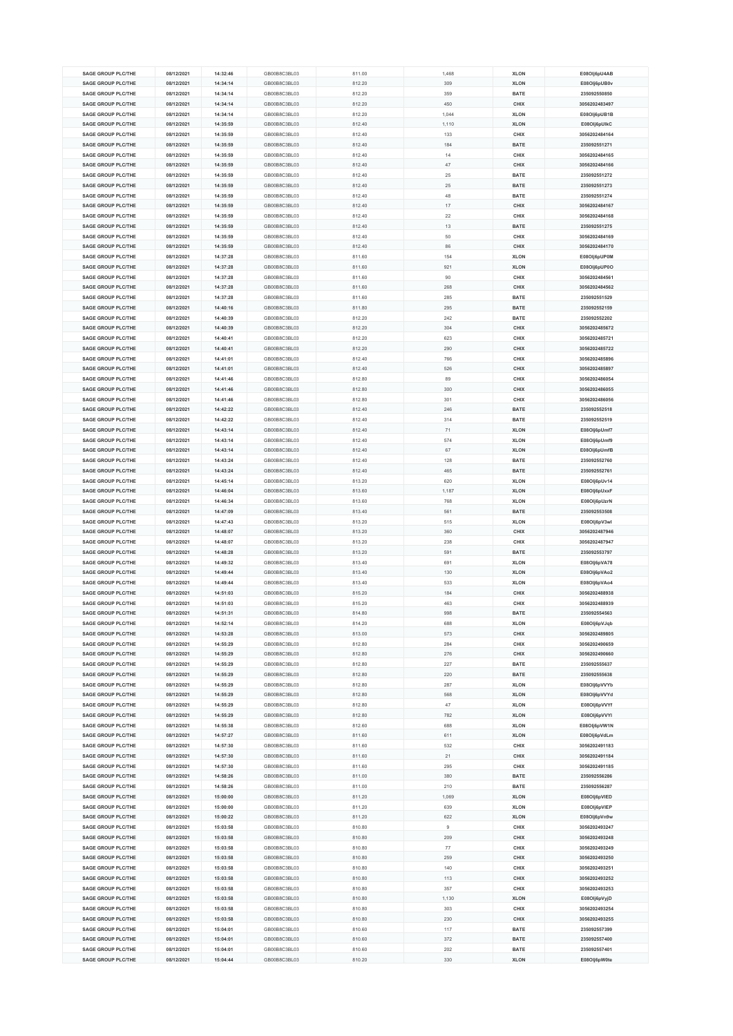| <b>SAGE GROUP PLC/THE</b> | 08/12/2021 | 14:32:46 | GB00B8C3BL03 | 811.00 | 1,468          | <b>XLON</b> | E08Olj6pU4AB  |
|---------------------------|------------|----------|--------------|--------|----------------|-------------|---------------|
|                           |            |          |              |        |                |             |               |
| <b>SAGE GROUP PLC/THE</b> | 08/12/2021 | 14:34:14 | GB00B8C3BL03 | 812.20 | 309            | <b>XLON</b> | E08Olj6pUB0v  |
| <b>SAGE GROUP PLC/THE</b> | 08/12/2021 | 14:34:14 | GB00B8C3BL03 | 812.20 | 359            | <b>BATE</b> | 235092550850  |
| <b>SAGE GROUP PLC/THE</b> | 08/12/2021 | 14:34:14 | GB00B8C3BL03 | 812.20 | 450            | CHIX        | 3056202483497 |
| SAGE GROUP PLC/THE        | 08/12/2021 | 14:34:14 | GB00B8C3BL03 | 812.20 | 1,044          | <b>XLON</b> | E08Olj6pUB1B  |
|                           |            |          |              |        |                |             |               |
| <b>SAGE GROUP PLC/THE</b> | 08/12/2021 | 14:35:59 | GB00B8C3BL03 | 812.40 | 1,110          | <b>XLON</b> | E08Olj6pUlkC  |
| <b>SAGE GROUP PLC/THE</b> | 08/12/2021 | 14:35:59 | GB00B8C3BL03 | 812.40 | 133            | CHIX        | 3056202484164 |
| <b>SAGE GROUP PLC/THE</b> | 08/12/2021 | 14:35:59 | GB00B8C3BL03 | 812.40 | 184            | <b>BATE</b> | 235092551271  |
| <b>SAGE GROUP PLC/THE</b> | 08/12/2021 | 14:35:59 | GB00B8C3BL03 | 812.40 | 14             | CHIX        | 3056202484165 |
| <b>SAGE GROUP PLC/THE</b> | 08/12/2021 | 14:35:59 | GB00B8C3BL03 | 812.40 | 47             | CHIX        | 3056202484166 |
|                           |            |          |              |        |                |             |               |
| <b>SAGE GROUP PLC/THE</b> | 08/12/2021 | 14:35:59 | GB00B8C3BL03 | 812.40 | 25             | <b>BATE</b> | 235092551272  |
| <b>SAGE GROUP PLC/THE</b> | 08/12/2021 | 14:35:59 | GB00B8C3BL03 | 812.40 | 25             | <b>BATE</b> | 235092551273  |
| <b>SAGE GROUP PLC/THE</b> | 08/12/2021 | 14:35:59 | GB00B8C3BL03 | 812.40 | 48             | <b>BATE</b> | 235092551274  |
| <b>SAGE GROUP PLC/THE</b> | 08/12/2021 | 14:35:59 | GB00B8C3BL03 | 812.40 | 17             | CHIX        | 3056202484167 |
|                           |            |          |              |        |                |             |               |
| <b>SAGE GROUP PLC/THE</b> | 08/12/2021 | 14:35:59 | GB00B8C3BL03 | 812.40 | 22             | CHIX        | 3056202484168 |
| <b>SAGE GROUP PLC/THE</b> | 08/12/2021 | 14:35:59 | GB00B8C3BL03 | 812.40 | 13             | <b>BATE</b> | 235092551275  |
| <b>SAGE GROUP PLC/THE</b> | 08/12/2021 | 14:35:59 | GB00B8C3BL03 | 812.40 | 50             | CHIX        | 3056202484169 |
| <b>SAGE GROUP PLC/THE</b> | 08/12/2021 | 14:35:59 | GB00B8C3BL03 | 812.40 | 86             | CHIX        | 3056202484170 |
| <b>SAGE GROUP PLC/THE</b> | 08/12/2021 | 14:37:28 | GB00B8C3BL03 | 811.60 | 154            | <b>XLON</b> | E08Olj6pUP0M  |
|                           |            |          |              |        |                |             |               |
| <b>SAGE GROUP PLC/THE</b> | 08/12/2021 | 14:37:28 | GB00B8C3BL03 | 811.60 | 921            | <b>XLON</b> | E08Olj6pUP0O  |
| <b>SAGE GROUP PLC/THE</b> | 08/12/2021 | 14:37:28 | GB00B8C3BL03 | 811.60 | 90             | <b>CHIX</b> | 3056202484561 |
| <b>SAGE GROUP PLC/THE</b> | 08/12/2021 | 14:37:28 | GB00B8C3BL03 | 811.60 | 268            | CHIX        | 3056202484562 |
| <b>SAGE GROUP PLC/THE</b> | 08/12/2021 | 14:37:28 | GB00B8C3BL03 | 811.60 | 285            | <b>BATE</b> | 235092551529  |
| <b>SAGE GROUP PLC/THE</b> | 08/12/2021 | 14:40:16 | GB00B8C3BL03 | 811.80 | 295            | <b>BATE</b> | 235092552159  |
|                           |            |          |              |        |                |             |               |
| <b>SAGE GROUP PLC/THE</b> | 08/12/2021 | 14:40:39 | GB00B8C3BL03 | 812.20 | 242            | <b>BATE</b> | 235092552202  |
| <b>SAGE GROUP PLC/THE</b> | 08/12/2021 | 14:40:39 | GB00B8C3BL03 | 812.20 | 304            | CHIX        | 3056202485672 |
| <b>SAGE GROUP PLC/THE</b> | 08/12/2021 | 14:40:41 | GB00B8C3BL03 | 812.20 | 623            | CHIX        | 3056202485721 |
| <b>SAGE GROUP PLC/THE</b> | 08/12/2021 | 14:40:41 | GB00B8C3BL03 | 812.20 | 290            | CHIX        | 3056202485722 |
|                           |            |          |              |        |                |             |               |
| <b>SAGE GROUP PLC/THE</b> | 08/12/2021 | 14:41:01 | GB00B8C3BL03 | 812.40 | 766            | CHIX        | 3056202485896 |
| <b>SAGE GROUP PLC/THE</b> | 08/12/2021 | 14:41:01 | GB00B8C3BL03 | 812.40 | 526            | CHIX        | 3056202485897 |
| <b>SAGE GROUP PLC/THE</b> | 08/12/2021 | 14:41:46 | GB00B8C3BL03 | 812.80 | 89             | CHIX        | 3056202486054 |
| <b>SAGE GROUP PLC/THE</b> | 08/12/2021 | 14:41:46 | GB00B8C3BL03 | 812.80 | 300            | CHIX        | 3056202486055 |
| <b>SAGE GROUP PLC/THE</b> | 08/12/2021 | 14:41:46 | GB00B8C3BL03 | 812.80 | 301            | CHIX        | 3056202486056 |
|                           |            |          |              |        |                |             |               |
| <b>SAGE GROUP PLC/THE</b> | 08/12/2021 | 14:42:22 | GB00B8C3BL03 | 812.40 | 246            | <b>BATE</b> | 235092552518  |
| <b>SAGE GROUP PLC/THE</b> | 08/12/2021 | 14:42:22 | GB00B8C3BL03 | 812.40 | 314            | <b>BATE</b> | 235092552519  |
| <b>SAGE GROUP PLC/THE</b> | 08/12/2021 | 14:43:14 | GB00B8C3BL03 | 812.40 | 71             | <b>XLON</b> | E08Olj6pUmf7  |
| <b>SAGE GROUP PLC/THE</b> | 08/12/2021 | 14:43:14 | GB00B8C3BL03 | 812.40 | 574            | <b>XLON</b> | E08Olj6pUmf9  |
|                           |            |          |              |        |                |             |               |
|                           | 08/12/2021 | 14:43:14 | GB00B8C3BL03 | 812.40 | 67             | <b>XLON</b> | E08Olj6pUmfB  |
| <b>SAGE GROUP PLC/THE</b> |            |          |              |        | 128            |             | 235092552760  |
| <b>SAGE GROUP PLC/THE</b> | 08/12/2021 | 14:43:24 | GB00B8C3BL03 | 812.40 |                | <b>BATE</b> |               |
| <b>SAGE GROUP PLC/THE</b> | 08/12/2021 | 14:43:24 | GB00B8C3BL03 | 812.40 | 465            | <b>BATE</b> | 235092552761  |
|                           |            |          |              |        |                |             |               |
| <b>SAGE GROUP PLC/THE</b> | 08/12/2021 | 14:45:14 | GB00B8C3BL03 | 813.20 | 620            | <b>XLON</b> | E08Olj6pUv14  |
| <b>SAGE GROUP PLC/THE</b> | 08/12/2021 | 14:46:04 | GB00B8C3BL03 | 813.60 | 1,187          | <b>XLON</b> | E08Olj6pUxxF  |
| <b>SAGE GROUP PLC/THE</b> | 08/12/2021 | 14:46:34 | GB00B8C3BL03 | 813.60 | 768            | <b>XLON</b> | E08Olj6pUzrN  |
| <b>SAGE GROUP PLC/THE</b> | 08/12/2021 | 14:47:09 | GB00B8C3BL03 | 813.40 | 561            | <b>BATE</b> | 235092553508  |
| <b>SAGE GROUP PLC/THE</b> | 08/12/2021 | 14:47:43 | GB00B8C3BL03 | 813.20 | 515            | <b>XLON</b> | E08Olj6pV3wl  |
|                           |            |          |              |        |                |             |               |
| <b>SAGE GROUP PLC/THE</b> | 08/12/2021 | 14:48:07 | GB00B8C3BL03 | 813.20 | 360            | <b>CHIX</b> | 3056202487946 |
| <b>SAGE GROUP PLC/THE</b> | 08/12/2021 | 14:48:07 | GB00B8C3BL03 | 813.20 | 238            | CHIX        | 3056202487947 |
| <b>SAGE GROUP PLC/THE</b> | 08/12/2021 | 14:48:28 | GB00B8C3BL03 | 813.20 | 591            | <b>BATE</b> | 235092553797  |
| <b>SAGE GROUP PLC/THE</b> | 08/12/2021 | 14:49:32 | GB00B8C3BL03 | 813.40 | 691            | <b>XLON</b> | E08Olj6pVA78  |
| <b>SAGE GROUP PLC/THE</b> | 08/12/2021 | 14:49:44 | GB00B8C3BL03 | 813.40 | 130            | <b>XLON</b> | E08Olj6pVAo2  |
| <b>SAGE GROUP PLC/THE</b> | 08/12/2021 | 14:49:44 | GB00B8C3BL03 |        |                |             |               |
|                           |            |          |              | 813.40 | 533            | <b>XLON</b> | E08Olj6pVAo4  |
| <b>SAGE GROUP PLC/THE</b> | 08/12/2021 | 14:51:03 | GB00B8C3BL03 | 815.20 | 184            | CHIX        | 3056202488938 |
| <b>SAGE GROUP PLC/THE</b> | 08/12/2021 | 14:51:03 | GB00B8C3BL03 | 815.20 | 463            | CHIX        | 3056202488939 |
| <b>SAGE GROUP PLC/THE</b> | 08/12/2021 | 14:51:31 | GB00B8C3BL03 | 814.80 | 998            | <b>BATE</b> | 235092554563  |
| <b>SAGE GROUP PLC/THE</b> | 08/12/2021 | 14:52:14 | GB00B8C3BL03 | 814.20 | 688            | <b>XLON</b> | E08Olj6pVJqb  |
| <b>SAGE GROUP PLC/THE</b> | 08/12/2021 | 14:53:28 | GB00B8C3BL03 | 813.00 | 573            | CHIX        | 3056202489805 |
| <b>SAGE GROUP PLC/THE</b> |            |          |              |        |                |             |               |
|                           | 08/12/2021 | 14:55:29 | GB00B8C3BL03 | 812.80 | 284            | CHIX        | 3056202490659 |
| <b>SAGE GROUP PLC/THE</b> | 08/12/2021 | 14:55:29 | GB00B8C3BL03 | 812.80 | 276            | CHIX        | 3056202490660 |
| <b>SAGE GROUP PLC/THE</b> | 08/12/2021 | 14:55:29 | GB00B8C3BL03 | 812.80 | 227            | <b>BATE</b> | 235092555637  |
| <b>SAGE GROUP PLC/THE</b> | 08/12/2021 | 14:55:29 | GB00B8C3BL03 | 812.80 | 220            | <b>BATE</b> | 235092555638  |
| <b>SAGE GROUP PLC/THE</b> | 08/12/2021 | 14:55:29 | GB00B8C3BL03 | 812.80 | 287            | <b>XLON</b> | E08Olj6pVVYb  |
|                           |            |          |              |        |                |             |               |
| <b>SAGE GROUP PLC/THE</b> | 08/12/2021 | 14:55:29 | GB00B8C3BL03 | 812.80 | 568            | <b>XLON</b> | E08Olj6pVVYd  |
| <b>SAGE GROUP PLC/THE</b> | 08/12/2021 | 14:55:29 | GB00B8C3BL03 | 812.80 | 47             | XLON        | E08Olj6pVVYf  |
| <b>SAGE GROUP PLC/THE</b> | 08/12/2021 | 14:55:29 | GB00B8C3BL03 | 812.80 | 782            | <b>XLON</b> | E08Olj6pVVYI  |
| <b>SAGE GROUP PLC/THE</b> | 08/12/2021 | 14:55:38 | GB00B8C3BL03 | 812.60 | 688            | <b>XLON</b> | E08Olj6pVW1N  |
| <b>SAGE GROUP PLC/THE</b> | 08/12/2021 | 14:57:27 | GB00B8C3BL03 | 811.60 | 611            | <b>XLON</b> | E08Olj6pVdLm  |
| <b>SAGE GROUP PLC/THE</b> | 08/12/2021 | 14:57:30 | GB00B8C3BL03 |        | 532            | CHIX        | 3056202491183 |
|                           |            |          |              | 811.60 |                |             |               |
| <b>SAGE GROUP PLC/THE</b> | 08/12/2021 | 14:57:30 | GB00B8C3BL03 | 811.60 | 21             | CHIX        | 3056202491184 |
| <b>SAGE GROUP PLC/THE</b> | 08/12/2021 | 14:57:30 | GB00B8C3BL03 | 811.60 | 295            | CHIX        | 3056202491185 |
| <b>SAGE GROUP PLC/THE</b> | 08/12/2021 | 14:58:26 | GB00B8C3BL03 | 811.00 | 380            | <b>BATE</b> | 235092556286  |
| <b>SAGE GROUP PLC/THE</b> | 08/12/2021 | 14:58:26 | GB00B8C3BL03 | 811.00 | 210            | <b>BATE</b> | 235092556287  |
| <b>SAGE GROUP PLC/THE</b> | 08/12/2021 | 15:00:00 | GB00B8C3BL03 | 811.20 | 1,069          | <b>XLON</b> | E08Olj6pVIED  |
| <b>SAGE GROUP PLC/THE</b> | 08/12/2021 | 15:00:00 | GB00B8C3BL03 | 811.20 | 639            | <b>XLON</b> | E08Olj6pVIEP  |
|                           |            |          |              |        |                |             |               |
| <b>SAGE GROUP PLC/THE</b> | 08/12/2021 | 15:00:22 | GB00B8C3BL03 | 811.20 | 622            | <b>XLON</b> | E08Olj6pVn9w  |
| <b>SAGE GROUP PLC/THE</b> | 08/12/2021 | 15:03:58 | GB00B8C3BL03 | 810.80 | $\overline{9}$ | CHIX        | 3056202493247 |
| <b>SAGE GROUP PLC/THE</b> | 08/12/2021 | 15:03:58 | GB00B8C3BL03 | 810.80 | 209            | CHIX        | 3056202493248 |
| <b>SAGE GROUP PLC/THE</b> | 08/12/2021 | 15:03:58 | GB00B8C3BL03 | 810.80 | 77             | CHIX        | 3056202493249 |
| <b>SAGE GROUP PLC/THE</b> |            | 15:03:58 | GB00B8C3BL03 |        | 259            | CHIX        | 3056202493250 |
|                           | 08/12/2021 |          |              | 810.80 |                |             |               |
| <b>SAGE GROUP PLC/THE</b> | 08/12/2021 | 15:03:58 | GB00B8C3BL03 | 810.80 | 140            | CHIX        | 3056202493251 |
| <b>SAGE GROUP PLC/THE</b> | 08/12/2021 | 15:03:58 | GB00B8C3BL03 | 810.80 | 113            | CHIX        | 3056202493252 |
| <b>SAGE GROUP PLC/THE</b> | 08/12/2021 | 15:03:58 | GB00B8C3BL03 | 810.80 | 357            | CHIX        | 3056202493253 |
| <b>SAGE GROUP PLC/THE</b> | 08/12/2021 | 15:03:58 | GB00B8C3BL03 | 810.80 | 1,130          | <b>XLON</b> | E08Olj6pVyjD  |
| <b>SAGE GROUP PLC/THE</b> | 08/12/2021 | 15:03:58 | GB00B8C3BL03 | 810.80 | 303            | CHIX        | 3056202493254 |
|                           |            |          |              |        |                |             |               |
| <b>SAGE GROUP PLC/THE</b> | 08/12/2021 | 15:03:58 | GB00B8C3BL03 | 810.80 | 230            | CHIX        | 3056202493255 |
| <b>SAGE GROUP PLC/THE</b> | 08/12/2021 | 15:04:01 | GB00B8C3BL03 | 810.60 | 117            | <b>BATE</b> | 235092557399  |
| <b>SAGE GROUP PLC/THE</b> | 08/12/2021 | 15:04:01 | GB00B8C3BL03 | 810.60 | 372            | <b>BATE</b> | 235092557400  |
| <b>SAGE GROUP PLC/THE</b> | 08/12/2021 | 15:04:01 | GB00B8C3BL03 | 810.60 | 202            | <b>BATE</b> | 235092557401  |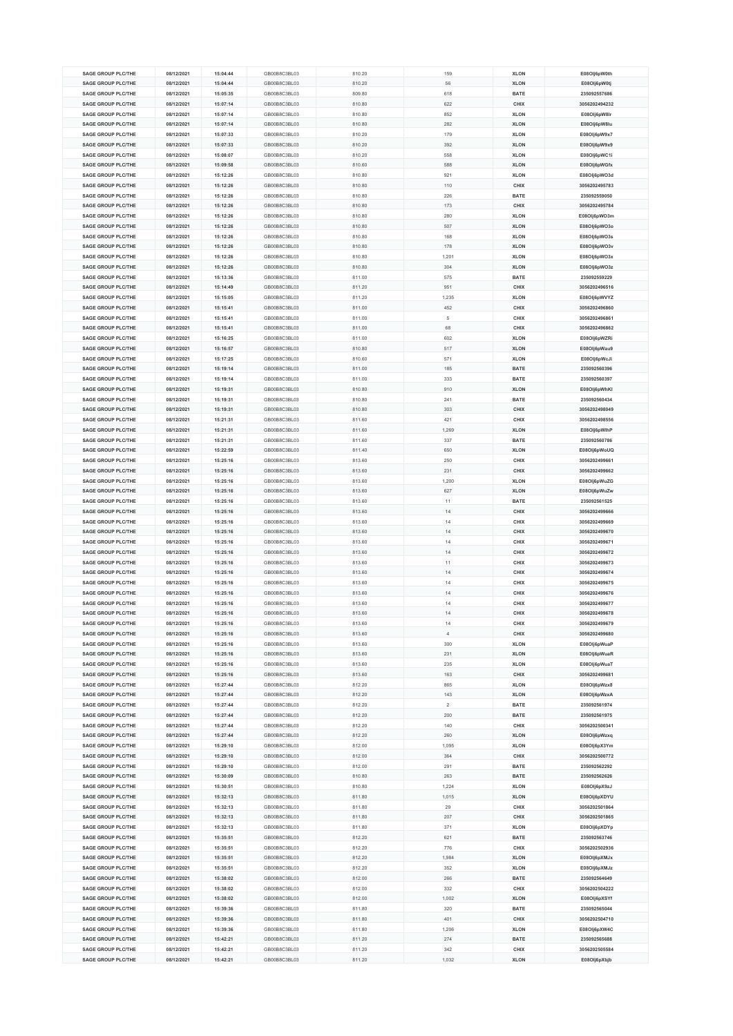| <b>SAGE GROUP PLC/THE</b> | 08/12/2021 | 15:04:44 | GB00B8C3BL03 | 810.20 | 159            | <b>XLON</b> | E08Olj6pW0th  |
|---------------------------|------------|----------|--------------|--------|----------------|-------------|---------------|
|                           |            |          |              |        |                |             |               |
| <b>SAGE GROUP PLC/THE</b> | 08/12/2021 | 15:04:44 | GB00B8C3BL03 | 810.20 | 56             | <b>XLON</b> | E08OIj6pW0tj  |
| <b>SAGE GROUP PLC/THE</b> | 08/12/2021 | 15:05:35 | GB00B8C3BL03 | 809.80 | 618            | <b>BATE</b> | 235092557686  |
| <b>SAGE GROUP PLC/THE</b> | 08/12/2021 | 15:07:14 | GB00B8C3BL03 | 810.80 | 622            | CHIX        | 3056202494232 |
| <b>SAGE GROUP PLC/THE</b> | 08/12/2021 | 15:07:14 | GB00B8C3BL03 | 810.80 | 852            | <b>XLON</b> | E08Olj6pW8lr  |
|                           |            |          |              |        |                |             |               |
| <b>SAGE GROUP PLC/THE</b> | 08/12/2021 | 15:07:14 | GB00B8C3BL03 | 810.80 | 282            | <b>XLON</b> | E08Olj6pW8lu  |
| <b>SAGE GROUP PLC/THE</b> | 08/12/2021 | 15:07:33 | GB00B8C3BL03 | 810.20 | 179            | <b>XLON</b> | E08Olj6pW9x7  |
| <b>SAGE GROUP PLC/THE</b> | 08/12/2021 | 15:07:33 | GB00B8C3BL03 | 810.20 | 392            | <b>XLON</b> | E08Olj6pW9x9  |
| <b>SAGE GROUP PLC/THE</b> | 08/12/2021 | 15:08:07 | GB00B8C3BL03 | 810.20 | 558            | <b>XLON</b> | E08Olj6pWC1i  |
| <b>SAGE GROUP PLC/THE</b> | 08/12/2021 | 15:09:58 | GB00B8C3BL03 | 810.60 | 588            | <b>XLON</b> | E08Olj6pWGfx  |
|                           |            |          |              |        |                |             |               |
| <b>SAGE GROUP PLC/THE</b> | 08/12/2021 | 15:12:26 | GB00B8C3BL03 | 810.80 | 921            | <b>XLON</b> | E08Olj6pWO3d  |
| <b>SAGE GROUP PLC/THE</b> | 08/12/2021 | 15:12:26 | GB00B8C3BL03 | 810.80 | 110            | CHIX        | 3056202495783 |
| <b>SAGE GROUP PLC/THE</b> | 08/12/2021 | 15:12:26 | GB00B8C3BL03 | 810.80 | 226            | <b>BATE</b> | 235092559050  |
| <b>SAGE GROUP PLC/THE</b> | 08/12/2021 | 15:12:26 | GB00B8C3BL03 | 810.80 | 173            | CHIX        | 3056202495784 |
| <b>SAGE GROUP PLC/THE</b> | 08/12/2021 | 15:12:26 | GB00B8C3BL03 | 810.80 | 280            | <b>XLON</b> | E08Olj6pWO3m  |
|                           |            |          |              |        |                |             |               |
| <b>SAGE GROUP PLC/THE</b> | 08/12/2021 | 15:12:26 | GB00B8C3BL03 | 810.80 | 507            | <b>XLON</b> | E08Olj6pWO3o  |
| <b>SAGE GROUP PLC/THE</b> | 08/12/2021 | 15:12:26 | GB00B8C3BL03 | 810.80 | 168            | <b>XLON</b> | E08Olj6pWO3s  |
| <b>SAGE GROUP PLC/THE</b> | 08/12/2021 | 15:12:26 | GB00B8C3BL03 | 810.80 | 178            | <b>XLON</b> | E08Olj6pWO3v  |
| <b>SAGE GROUP PLC/THE</b> | 08/12/2021 | 15:12:26 | GB00B8C3BL03 | 810.80 | 1,201          | <b>XLON</b> | E08Olj6pWO3x  |
| <b>SAGE GROUP PLC/THE</b> | 08/12/2021 | 15:12:26 | GB00B8C3BL03 | 810.80 | 304            | <b>XLON</b> | E08Olj6pWO3z  |
|                           |            |          |              |        |                |             |               |
| <b>SAGE GROUP PLC/THE</b> | 08/12/2021 | 15:13:36 | GB00B8C3BL03 | 811.00 | 575            | <b>BATE</b> | 235092559229  |
| <b>SAGE GROUP PLC/THE</b> | 08/12/2021 | 15:14:49 | GB00B8C3BL03 | 811.20 | 951            | CHIX        | 3056202496516 |
| <b>SAGE GROUP PLC/THE</b> | 08/12/2021 | 15:15:05 | GB00B8C3BL03 | 811.20 | 1,235          | <b>XLON</b> | E08Olj6pWVYZ  |
| <b>SAGE GROUP PLC/THE</b> | 08/12/2021 | 15:15:41 | GB00B8C3BL03 | 811.00 | 452            | CHIX        | 3056202496860 |
| <b>SAGE GROUP PLC/THE</b> | 08/12/2021 | 15:15:41 | GB00B8C3BL03 | 811.00 | 5              | CHIX        | 3056202496861 |
|                           |            |          |              |        |                |             |               |
| <b>SAGE GROUP PLC/THE</b> | 08/12/2021 | 15:15:41 | GB00B8C3BL03 | 811.00 | 68             | CHIX        | 3056202496862 |
| <b>SAGE GROUP PLC/THE</b> | 08/12/2021 | 15:16:25 | GB00B8C3BL03 | 811.00 | 602            | <b>XLON</b> | E08Olj6pWZRi  |
| <b>SAGE GROUP PLC/THE</b> | 08/12/2021 | 15:16:57 | GB00B8C3BL03 | 810.80 | 517            | <b>XLON</b> | E08Olj6pWau9  |
| <b>SAGE GROUP PLC/THE</b> | 08/12/2021 | 15:17:25 | GB00B8C3BL03 | 810.60 | 571            | <b>XLON</b> | E08Olj6pWcJi  |
| <b>SAGE GROUP PLC/THE</b> | 08/12/2021 | 15:19:14 | GB00B8C3BL03 | 811.00 | 185            | <b>BATE</b> | 235092560396  |
|                           |            |          |              |        |                |             |               |
| <b>SAGE GROUP PLC/THE</b> | 08/12/2021 | 15:19:14 | GB00B8C3BL03 | 811.00 | 333            | BATE        | 235092560397  |
| <b>SAGE GROUP PLC/THE</b> | 08/12/2021 | 15:19:31 | GB00B8C3BL03 | 810.80 | 910            | <b>XLON</b> | E08Olj6pWhKI  |
| <b>SAGE GROUP PLC/THE</b> | 08/12/2021 | 15:19:31 | GB00B8C3BL03 | 810.80 | 241            | <b>BATE</b> | 235092560434  |
| <b>SAGE GROUP PLC/THE</b> | 08/12/2021 | 15:19:31 | GB00B8C3BL03 | 810.80 | 303            | CHIX        | 3056202498049 |
| <b>SAGE GROUP PLC/THE</b> | 08/12/2021 | 15:21:31 | GB00B8C3BL03 | 811.60 | 421            | CHIX        | 3056202498556 |
|                           |            |          |              |        |                |             |               |
| <b>SAGE GROUP PLC/THE</b> | 08/12/2021 | 15:21:31 | GB00B8C3BL03 | 811.60 | 1,269          | <b>XLON</b> | E08Olj6pWlhP  |
| <b>SAGE GROUP PLC/THE</b> | 08/12/2021 | 15:21:31 | GB00B8C3BL03 | 811.60 | 337            | <b>BATE</b> | 235092560786  |
| <b>SAGE GROUP PLC/THE</b> | 08/12/2021 | 15:22:59 | GB00B8C3BL03 | 811.40 | 650            | <b>XLON</b> | E08Olj6pWoUQ  |
| <b>SAGE GROUP PLC/THE</b> | 08/12/2021 | 15:25:16 | GB00B8C3BL03 | 813.60 | 250            | CHIX        | 3056202499661 |
| <b>SAGE GROUP PLC/THE</b> | 08/12/2021 | 15:25:16 | GB00B8C3BL03 | 813.60 | 231            | CHIX        | 3056202499662 |
|                           |            |          |              |        |                |             |               |
| <b>SAGE GROUP PLC/THE</b> | 08/12/2021 | 15:25:16 | GB00B8C3BL03 | 813.60 | 1,200          | <b>XLON</b> | E08Olj6pWuZG  |
|                           | 08/12/2021 | 15:25:16 | GB00B8C3BL03 | 813.60 | 627            |             | E08Olj6pWuZw  |
| <b>SAGE GROUP PLC/THE</b> |            |          |              |        |                | <b>XLON</b> |               |
| <b>SAGE GROUP PLC/THE</b> | 08/12/2021 | 15:25:16 | GB00B8C3BL03 | 813.60 | 11             | <b>BATE</b> | 235092561525  |
|                           |            |          |              |        | 14             |             |               |
| <b>SAGE GROUP PLC/THE</b> | 08/12/2021 | 15:25:16 | GB00B8C3BL03 | 813.60 |                | CHIX        | 3056202499666 |
| <b>SAGE GROUP PLC/THE</b> | 08/12/2021 | 15:25:16 | GB00B8C3BL03 | 813.60 | 14             | CHIX        | 3056202499669 |
| <b>SAGE GROUP PLC/THE</b> | 08/12/2021 | 15:25:16 | GB00B8C3BL03 | 813.60 | 14             | CHIX        | 3056202499670 |
| <b>SAGE GROUP PLC/THE</b> | 08/12/2021 | 15:25:16 | GB00B8C3BL03 | 813.60 | 14             | CHIX        | 3056202499671 |
| <b>SAGE GROUP PLC/THE</b> | 08/12/2021 | 15:25:16 | GB00B8C3BL03 | 813.60 | 14             | CHIX        | 3056202499672 |
| <b>SAGE GROUP PLC/THE</b> | 08/12/2021 | 15:25:16 | GB00B8C3BL03 | 813.60 | 11             | CHIX        | 3056202499673 |
|                           |            |          |              |        |                |             |               |
| <b>SAGE GROUP PLC/THE</b> | 08/12/2021 | 15:25:16 | GB00B8C3BL03 | 813.60 | 14             | CHIX        | 3056202499674 |
| <b>SAGE GROUP PLC/THE</b> | 08/12/2021 | 15:25:16 | GB00B8C3BL03 | 813.60 | 14             | CHIX        | 3056202499675 |
| <b>SAGE GROUP PLC/THE</b> | 08/12/2021 | 15:25:16 | GB00B8C3BL03 | 813.60 | 14             | CHIX        | 3056202499676 |
| <b>SAGE GROUP PLC/THE</b> | 08/12/2021 | 15:25:16 | GB00B8C3BL03 | 813.60 | 14             | CHIX        | 3056202499677 |
| <b>SAGE GROUP PLC/THE</b> | 08/12/2021 | 15:25:16 | GB00B8C3BL03 | 813.60 | 14             | CHIX        | 3056202499678 |
|                           |            |          |              |        |                |             |               |
| <b>SAGE GROUP PLC/THE</b> | 08/12/2021 | 15:25:16 | GB00B8C3BL03 | 813.60 | 14             | <b>CHIX</b> | 3056202499679 |
| <b>SAGE GROUP PLC/THE</b> | 08/12/2021 | 15:25:16 | GB00B8C3BL03 | 813.60 | 4              | CHIX        | 3056202499680 |
| <b>SAGE GROUP PLC/THE</b> | 08/12/2021 | 15:25:16 | GB00B8C3BL03 | 813.60 | 300            | <b>XLON</b> | E08Olj6pWuaP  |
| <b>SAGE GROUP PLC/THE</b> | 08/12/2021 | 15:25:16 | GB00B8C3BL03 | 813.60 | 231            | <b>XLON</b> | E08Olj6pWuaR  |
| <b>SAGE GROUP PLC/THE</b> | 08/12/2021 | 15:25:16 | GB00B8C3BL03 | 813.60 | 235            | <b>XLON</b> | E08Olj6pWuaT  |
| <b>SAGE GROUP PLC/THE</b> | 08/12/2021 | 15:25:16 | GB00B8C3BL03 | 813.60 | 163            | CHIX        | 3056202499681 |
| <b>SAGE GROUP PLC/THE</b> | 08/12/2021 | 15:27:44 | GB00B8C3BL03 | 812.20 | 865            | <b>XLON</b> |               |
|                           |            |          |              |        |                |             | E08Olj6pWzx8  |
| <b>SAGE GROUP PLC/THE</b> | 08/12/2021 | 15:27:44 | GB00B8C3BL03 | 812.20 | 143            | <b>XLON</b> | E08Olj6pWzxA  |
| SAGE GROUP PLC/THE        | 08/12/2021 | 15:27:44 | GB00B8C3BL03 | 812.20 | $\overline{2}$ | <b>BATE</b> | 235092561974  |
| <b>SAGE GROUP PLC/THE</b> | 08/12/2021 | 15:27:44 | GB00B8C3BL03 | 812.20 | 200            | <b>BATE</b> | 235092561975  |
| <b>SAGE GROUP PLC/THE</b> | 08/12/2021 | 15:27:44 | GB00B8C3BL03 | 812.20 | 140            | CHIX        | 3056202500341 |
| <b>SAGE GROUP PLC/THE</b> | 08/12/2021 | 15:27:44 | GB00B8C3BL03 | 812.20 | 260            | <b>XLON</b> | E08Olj6pWzxq  |
| <b>SAGE GROUP PLC/THE</b> |            |          |              |        |                |             |               |
|                           | 08/12/2021 | 15:29:10 | GB00B8C3BL03 | 812.00 | 1,095          | <b>XLON</b> | E08Olj6pX3Ym  |
| <b>SAGE GROUP PLC/THE</b> | 08/12/2021 | 15:29:10 | GB00B8C3BL03 | 812.00 | 364            | CHIX        | 3056202500772 |
| <b>SAGE GROUP PLC/THE</b> | 08/12/2021 | 15:29:10 | GB00B8C3BL03 | 812.00 | 291            | <b>BATE</b> | 235092562292  |
| <b>SAGE GROUP PLC/THE</b> | 08/12/2021 | 15:30:09 | GB00B8C3BL03 | 810.80 | 263            | <b>BATE</b> | 235092562626  |
| <b>SAGE GROUP PLC/THE</b> | 08/12/2021 | 15:30:51 | GB00B8C3BL03 | 810.80 | 1,224          | <b>XLON</b> | E08Olj6pX9zJ  |
| <b>SAGE GROUP PLC/THE</b> | 08/12/2021 | 15:32:13 | GB00B8C3BL03 | 811.80 | 1,015          | <b>XLON</b> | E08OIj6pXDYU  |
| <b>SAGE GROUP PLC/THE</b> |            |          |              |        | 29             |             |               |
|                           | 08/12/2021 | 15:32:13 | GB00B8C3BL03 | 811.80 |                | CHIX        | 3056202501864 |
| <b>SAGE GROUP PLC/THE</b> | 08/12/2021 | 15:32:13 | GB00B8C3BL03 | 811.80 | 207            | CHIX        | 3056202501865 |
| <b>SAGE GROUP PLC/THE</b> | 08/12/2021 | 15:32:13 | GB00B8C3BL03 | 811.80 | 371            | <b>XLON</b> | E08Olj6pXDYp  |
| <b>SAGE GROUP PLC/THE</b> | 08/12/2021 | 15:35:51 | GB00B8C3BL03 | 812.20 | 621            | <b>BATE</b> | 235092563746  |
| <b>SAGE GROUP PLC/THE</b> | 08/12/2021 | 15:35:51 | GB00B8C3BL03 | 812.20 | 776            | CHIX        | 3056202502936 |
|                           |            |          |              |        |                |             |               |
| <b>SAGE GROUP PLC/THE</b> | 08/12/2021 | 15:35:51 | GB00B8C3BL03 | 812.20 | 1,984          | <b>XLON</b> | E08Olj6pXMJx  |
| <b>SAGE GROUP PLC/THE</b> | 08/12/2021 | 15:35:51 | GB00B8C3BL03 | 812.20 | 352            | <b>XLON</b> | E08Olj6pXMJz  |
| <b>SAGE GROUP PLC/THE</b> | 08/12/2021 | 15:38:02 | GB00B8C3BL03 | 812.00 | 266            | <b>BATE</b> | 235092564649  |
| <b>SAGE GROUP PLC/THE</b> | 08/12/2021 | 15:38:02 | GB00B8C3BL03 | 812.00 | 332            | CHIX        | 3056202504222 |
| <b>SAGE GROUP PLC/THE</b> | 08/12/2021 | 15:38:02 | GB00B8C3BL03 | 812.00 | 1,002          | <b>XLON</b> | E08Olj6pXSYf  |
| <b>SAGE GROUP PLC/THE</b> | 08/12/2021 | 15:39:36 | GB00B8C3BL03 | 811.80 | 320            | <b>BATE</b> | 235092565044  |
|                           |            |          |              |        |                |             |               |
| <b>SAGE GROUP PLC/THE</b> | 08/12/2021 | 15:39:36 | GB00B8C3BL03 | 811.80 | 401            | CHIX        | 3056202504710 |
| <b>SAGE GROUP PLC/THE</b> | 08/12/2021 | 15:39:36 | GB00B8C3BL03 | 811.80 | 1,206          | <b>XLON</b> | E08Olj6pXW4C  |
| <b>SAGE GROUP PLC/THE</b> | 08/12/2021 | 15:42:21 | GB00B8C3BL03 | 811.20 | 274            | <b>BATE</b> | 235092565688  |
| <b>SAGE GROUP PLC/THE</b> | 08/12/2021 | 15:42:21 | GB00B8C3BL03 | 811.20 | 342            | CHIX        | 3056202505584 |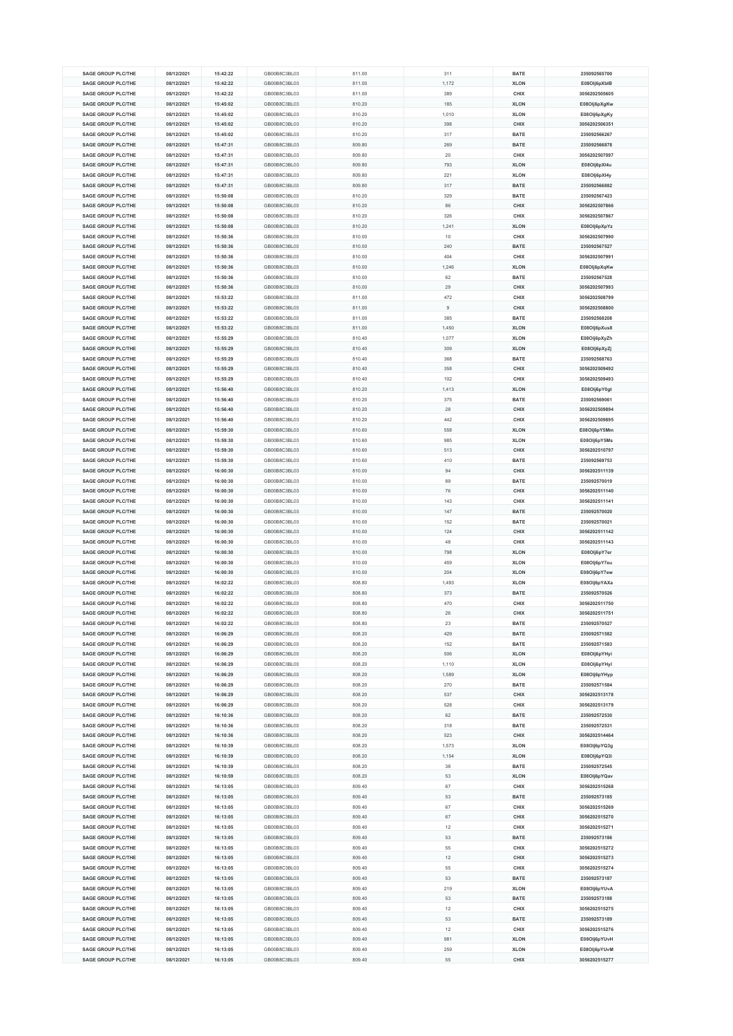| <b>SAGE GROUP PLC/THE</b> | 08/12/2021 | 15:42:22 | GB00B8C3BL03 | 811.00 | 311            | <b>BATE</b> | 235092565700  |
|---------------------------|------------|----------|--------------|--------|----------------|-------------|---------------|
|                           |            |          |              |        |                |             |               |
| <b>SAGE GROUP PLC/THE</b> | 08/12/2021 | 15:42:22 | GB00B8C3BL03 | 811.00 | 1,172          | <b>XLON</b> | E08Olj6pXblB  |
| <b>SAGE GROUP PLC/THE</b> | 08/12/2021 | 15:42:22 | GB00B8C3BL03 | 811.00 | 389            | CHIX        | 3056202505605 |
| <b>SAGE GROUP PLC/THE</b> | 08/12/2021 | 15:45:02 | GB00B8C3BL03 | 810.20 | 185            | <b>XLON</b> | E08Olj6pXgKw  |
| <b>SAGE GROUP PLC/THE</b> | 08/12/2021 | 15:45:02 | GB00B8C3BL03 | 810.20 | 1,010          | <b>XLON</b> | E08Olj6pXgKy  |
|                           |            |          |              |        |                |             |               |
| <b>SAGE GROUP PLC/THE</b> | 08/12/2021 | 15:45:02 | GB00B8C3BL03 | 810.20 | 398            | <b>CHIX</b> | 3056202506351 |
| <b>SAGE GROUP PLC/THE</b> | 08/12/2021 | 15:45:02 | GB00B8C3BL03 | 810.20 | 317            | <b>BATE</b> | 235092566267  |
| <b>SAGE GROUP PLC/THE</b> | 08/12/2021 | 15:47:31 | GB00B8C3BL03 | 809.80 | 269            | <b>BATE</b> | 235092566878  |
| <b>SAGE GROUP PLC/THE</b> | 08/12/2021 | 15:47:31 | GB00B8C3BL03 | 809.80 | 20             | CHIX        | 3056202507097 |
| <b>SAGE GROUP PLC/THE</b> | 08/12/2021 | 15:47:31 | GB00B8C3BL03 | 809.80 | 793            | <b>XLON</b> | E08OIj6pXI4u  |
|                           | 08/12/2021 |          |              |        | 221            |             |               |
| <b>SAGE GROUP PLC/THE</b> |            | 15:47:31 | GB00B8C3BL03 | 809.80 |                | <b>XLON</b> | E08OIj6pXI4y  |
| <b>SAGE GROUP PLC/THE</b> | 08/12/2021 | 15:47:31 | GB00B8C3BL03 | 809.80 | 317            | <b>BATE</b> | 235092566882  |
| <b>SAGE GROUP PLC/THE</b> | 08/12/2021 | 15:50:08 | GB00B8C3BL03 | 810.20 | 329            | <b>BATE</b> | 235092567423  |
| <b>SAGE GROUP PLC/THE</b> | 08/12/2021 | 15:50:08 | GB00B8C3BL03 | 810.20 | 86             | <b>CHIX</b> | 3056202507866 |
| <b>SAGE GROUP PLC/THE</b> | 08/12/2021 | 15:50:08 | GB00B8C3BL03 | 810.20 | 326            | CHIX        | 3056202507867 |
|                           |            |          |              |        |                |             |               |
| <b>SAGE GROUP PLC/THE</b> | 08/12/2021 | 15:50:08 | GB00B8C3BL03 | 810.20 | 1,241          | <b>XLON</b> | E08Olj6pXpYz  |
| <b>SAGE GROUP PLC/THE</b> | 08/12/2021 | 15:50:36 | GB00B8C3BL03 | 810.00 | $10$           | CHIX        | 3056202507990 |
| <b>SAGE GROUP PLC/THE</b> | 08/12/2021 | 15:50:36 | GB00B8C3BL03 | 810.00 | 240            | <b>BATE</b> | 235092567527  |
| <b>SAGE GROUP PLC/THE</b> | 08/12/2021 | 15:50:36 | GB00B8C3BL03 | 810.00 | 404            | CHIX        | 3056202507991 |
| <b>SAGE GROUP PLC/THE</b> | 08/12/2021 | 15:50:36 | GB00B8C3BL03 | 810.00 | 1,246          | <b>XLON</b> | E08Olj6pXqKw  |
| <b>SAGE GROUP PLC/THE</b> | 08/12/2021 | 15:50:36 | GB00B8C3BL03 | 810.00 | 62             | <b>BATE</b> | 235092567528  |
|                           |            |          |              |        |                |             |               |
| <b>SAGE GROUP PLC/THE</b> | 08/12/2021 | 15:50:36 | GB00B8C3BL03 | 810.00 | 29             | CHIX        | 3056202507993 |
| <b>SAGE GROUP PLC/THE</b> | 08/12/2021 | 15:53:22 | GB00B8C3BL03 | 811.00 | 472            | CHIX        | 3056202508799 |
| <b>SAGE GROUP PLC/THE</b> | 08/12/2021 | 15:53:22 | GB00B8C3BL03 | 811.00 | $\overline{9}$ | CHIX        | 3056202508800 |
| <b>SAGE GROUP PLC/THE</b> | 08/12/2021 | 15:53:22 | GB00B8C3BL03 | 811.00 | 385            | <b>BATE</b> | 235092568208  |
| <b>SAGE GROUP PLC/THE</b> | 08/12/2021 | 15:53:22 | GB00B8C3BL03 | 811.00 | 1,450          | <b>XLON</b> | E08Olj6pXus8  |
|                           |            |          |              |        |                |             |               |
| <b>SAGE GROUP PLC/THE</b> | 08/12/2021 | 15:55:29 | GB00B8C3BL03 | 810.40 | 1,077          | <b>XLON</b> | E08Olj6pXyZh  |
| <b>SAGE GROUP PLC/THE</b> | 08/12/2021 | 15:55:29 | GB00B8C3BL03 | 810.40 | 309            | <b>XLON</b> | E08OIj6pXyZj  |
| <b>SAGE GROUP PLC/THE</b> | 08/12/2021 | 15:55:29 | GB00B8C3BL03 | 810.40 | 368            | <b>BATE</b> | 235092568763  |
| <b>SAGE GROUP PLC/THE</b> | 08/12/2021 | 15:55:29 | GB00B8C3BL03 | 810.40 | 358            | CHIX        | 3056202509492 |
| <b>SAGE GROUP PLC/THE</b> | 08/12/2021 | 15:55:29 | GB00B8C3BL03 | 810.40 | 102            | CHIX        | 3056202509493 |
|                           |            |          |              |        |                |             |               |
| <b>SAGE GROUP PLC/THE</b> | 08/12/2021 | 15:56:40 | GB00B8C3BL03 | 810.20 | 1,413          | <b>XLON</b> | E08Olj6pY0gt  |
| <b>SAGE GROUP PLC/THE</b> | 08/12/2021 | 15:56:40 | GB00B8C3BL03 | 810.20 | 375            | <b>BATE</b> | 235092569061  |
| <b>SAGE GROUP PLC/THE</b> | 08/12/2021 | 15:56:40 | GB00B8C3BL03 | 810.20 | 28             | CHIX        | 3056202509894 |
| <b>SAGE GROUP PLC/THE</b> | 08/12/2021 | 15:56:40 | GB00B8C3BL03 | 810.20 | 442            | CHIX        | 3056202509895 |
| <b>SAGE GROUP PLC/THE</b> | 08/12/2021 | 15:59:30 | GB00B8C3BL03 | 810.60 | 558            | <b>XLON</b> | E08Olj6pY5Mm  |
|                           |            |          |              |        |                |             |               |
| <b>SAGE GROUP PLC/THE</b> | 08/12/2021 | 15:59:30 | GB00B8C3BL03 | 810.60 | 985            | <b>XLON</b> | E08Olj6pY5Ms  |
| <b>SAGE GROUP PLC/THE</b> | 08/12/2021 | 15:59:30 | GB00B8C3BL03 | 810.60 | 513            | CHIX        | 3056202510797 |
| <b>SAGE GROUP PLC/THE</b> | 08/12/2021 | 15:59:30 | GB00B8C3BL03 | 810.60 | 410            | <b>BATE</b> | 235092569753  |
| <b>SAGE GROUP PLC/THE</b> | 08/12/2021 | 16:00:30 | GB00B8C3BL03 | 810.00 | 94             | CHIX        | 3056202511139 |
| <b>SAGE GROUP PLC/THE</b> | 08/12/2021 | 16:00:30 | GB00B8C3BL03 | 810.00 | 89             | <b>BATE</b> | 235092570019  |
|                           |            |          |              |        |                |             |               |
| <b>SAGE GROUP PLC/THE</b> | 08/12/2021 | 16:00:30 | GB00B8C3BL03 | 810.00 | 76             | CHIX        | 3056202511140 |
| <b>SAGE GROUP PLC/THE</b> | 08/12/2021 | 16:00:30 | GB00B8C3BL03 | 810.00 | 143            | CHIX        | 3056202511141 |
| <b>SAGE GROUP PLC/THE</b> | 08/12/2021 | 16:00:30 | GB00B8C3BL03 | 810.00 | 147            | <b>BATE</b> | 235092570020  |
| <b>SAGE GROUP PLC/THE</b> | 08/12/2021 | 16:00:30 | GB00B8C3BL03 | 810.00 | 152            | <b>BATE</b> | 235092570021  |
| <b>SAGE GROUP PLC/THE</b> | 08/12/2021 | 16:00:30 | GB00B8C3BL03 | 810.00 | 124            | CHIX        | 3056202511142 |
|                           |            |          |              |        |                |             |               |
| <b>SAGE GROUP PLC/THE</b> | 08/12/2021 | 16:00:30 | GB00B8C3BL03 | 810.00 | 48             | CHIX        | 3056202511143 |
| <b>SAGE GROUP PLC/THE</b> | 08/12/2021 | 16:00:30 | GB00B8C3BL03 | 810.00 | 798            | <b>XLON</b> | E08Olj6pY7er  |
| <b>SAGE GROUP PLC/THE</b> | 08/12/2021 | 16:00:30 | GB00B8C3BL03 | 810.00 | 459            | <b>XLON</b> | E08Olj6pY7eu  |
| <b>SAGE GROUP PLC/THE</b> | 08/12/2021 | 16:00:30 | GB00B8C3BL03 | 810.00 | 204            | <b>XLON</b> | E08Olj6pY7ew  |
| <b>SAGE GROUP PLC/THE</b> | 08/12/2021 | 16:02:22 | GB00B8C3BL03 | 808.80 | 1,493          | <b>XLON</b> | E08Olj6pYAXa  |
| <b>SAGE GROUP PLC/THE</b> | 08/12/2021 | 16:02:22 | GB00B8C3BL03 | 808.80 | 373            | <b>BATE</b> | 235092570526  |
|                           |            |          |              |        |                |             |               |
| <b>SAGE GROUP PLC/THE</b> | 08/12/2021 | 16:02:22 | GB00B8C3BL03 | 808.80 | 470            | CHIX        | 3056202511750 |
| <b>SAGE GROUP PLC/THE</b> | 08/12/2021 | 16:02:22 | GB00B8C3BL03 | 808.80 | 26             | CHIX        | 3056202511751 |
| <b>SAGE GROUP PLC/THE</b> | 08/12/2021 | 16:02:22 | GB00B8C3BL03 | 808.80 | 23             | <b>BATE</b> | 235092570527  |
| <b>SAGE GROUP PLC/THE</b> | 08/12/2021 | 16:06:29 | GB00B8C3BL03 | 808.20 | 429            | <b>BATE</b> | 235092571582  |
| <b>SAGE GROUP PLC/THE</b> | 08/12/2021 | 16:06:29 | GB00B8C3BL03 | 808.20 | 152            | <b>BATE</b> | 235092571583  |
| <b>SAGE GROUP PLC/THE</b> | 08/12/2021 | 16:06:29 | GB00B8C3BL03 | 808.20 | 506            | <b>XLON</b> | E08Olj6pYHyi  |
|                           | 08/12/2021 |          |              |        |                |             | E08Olj6pYHyl  |
| <b>SAGE GROUP PLC/THE</b> |            | 16:06:29 | GB00B8C3BL03 | 808.20 | 1,110          | <b>XLON</b> |               |
| <b>SAGE GROUP PLC/THE</b> | 08/12/2021 | 16:06:29 | GB00B8C3BL03 | 808.20 | 1,589          | <b>XLON</b> | E08Olj6pYHyp  |
| <b>SAGE GROUP PLC/THE</b> | 08/12/2021 | 16:06:29 | GB00B8C3BL03 | 808.20 | 270            | <b>BATE</b> | 235092571584  |
| <b>SAGE GROUP PLC/THE</b> | 08/12/2021 | 16:06:29 | GB00B8C3BL03 | 808.20 | 537            | CHIX        | 3056202513178 |
| <b>SAGE GROUP PLC/THE</b> | 08/12/2021 | 16:06:29 | GB00B8C3BL03 | 808.20 | 528            | CHIX        | 3056202513179 |
| <b>SAGE GROUP PLC/THE</b> | 08/12/2021 | 16:10:36 | GB00B8C3BL03 | 808.20 | 62             | <b>BATE</b> | 235092572530  |
| <b>SAGE GROUP PLC/THE</b> |            |          |              |        | 318            |             | 235092572531  |
|                           | 08/12/2021 | 16:10:36 | GB00B8C3BL03 | 808.20 |                | <b>BATE</b> |               |
| <b>SAGE GROUP PLC/THE</b> | 08/12/2021 | 16:10:36 | GB00B8C3BL03 | 808.20 | 523            | CHIX        | 3056202514464 |
| <b>SAGE GROUP PLC/THE</b> | 08/12/2021 | 16:10:39 | GB00B8C3BL03 | 808.20 | 1,573          | <b>XLON</b> | E08Olj6pYQ3g  |
| <b>SAGE GROUP PLC/THE</b> | 08/12/2021 | 16:10:39 | GB00B8C3BL03 | 808.20 | 1,154          | <b>XLON</b> | E08Olj6pYQ3i  |
| <b>SAGE GROUP PLC/THE</b> | 08/12/2021 | 16:10:39 | GB00B8C3BL03 | 808.20 | 38             | <b>BATE</b> | 235092572545  |
| <b>SAGE GROUP PLC/THE</b> | 08/12/2021 | 16:10:59 | GB00B8C3BL03 | 808.20 | 53             | <b>XLON</b> | E08Olj6pYQav  |
| <b>SAGE GROUP PLC/THE</b> |            |          |              | 809.40 |                |             | 3056202515268 |
|                           | 08/12/2021 | 16:13:05 | GB00B8C3BL03 |        | 67             | CHIX        |               |
| <b>SAGE GROUP PLC/THE</b> | 08/12/2021 | 16:13:05 | GB00B8C3BL03 | 809.40 | 53             | <b>BATE</b> | 235092573185  |
| <b>SAGE GROUP PLC/THE</b> | 08/12/2021 | 16:13:05 | GB00B8C3BL03 | 809.40 | 67             | CHIX        | 3056202515269 |
| <b>SAGE GROUP PLC/THE</b> | 08/12/2021 | 16:13:05 | GB00B8C3BL03 | 809.40 | 67             | CHIX        | 3056202515270 |
| <b>SAGE GROUP PLC/THE</b> | 08/12/2021 | 16:13:05 | GB00B8C3BL03 | 809.40 | 12             | CHIX        | 3056202515271 |
| <b>SAGE GROUP PLC/THE</b> | 08/12/2021 | 16:13:05 | GB00B8C3BL03 | 809.40 | 53             | <b>BATE</b> | 235092573186  |
| <b>SAGE GROUP PLC/THE</b> |            |          |              |        |                |             |               |
|                           | 08/12/2021 | 16:13:05 | GB00B8C3BL03 | 809.40 | 55             | CHIX        | 3056202515272 |
| <b>SAGE GROUP PLC/THE</b> | 08/12/2021 | 16:13:05 | GB00B8C3BL03 | 809.40 | 12             | CHIX        | 3056202515273 |
| <b>SAGE GROUP PLC/THE</b> | 08/12/2021 | 16:13:05 | GB00B8C3BL03 | 809.40 | 55             | CHIX        | 3056202515274 |
| <b>SAGE GROUP PLC/THE</b> | 08/12/2021 | 16:13:05 | GB00B8C3BL03 | 809.40 | 53             | <b>BATE</b> | 235092573187  |
| <b>SAGE GROUP PLC/THE</b> | 08/12/2021 | 16:13:05 | GB00B8C3BL03 | 809.40 | 219            | <b>XLON</b> | E08Olj6pYUvA  |
| <b>SAGE GROUP PLC/THE</b> | 08/12/2021 | 16:13:05 | GB00B8C3BL03 | 809.40 | 53             | <b>BATE</b> | 235092573188  |
|                           |            |          |              |        |                |             |               |
| <b>SAGE GROUP PLC/THE</b> | 08/12/2021 | 16:13:05 | GB00B8C3BL03 | 809.40 | 12             | CHIX        | 3056202515275 |
| <b>SAGE GROUP PLC/THE</b> | 08/12/2021 | 16:13:05 | GB00B8C3BL03 | 809.40 | 53             | <b>BATE</b> | 235092573189  |
| <b>SAGE GROUP PLC/THE</b> | 08/12/2021 | 16:13:05 | GB00B8C3BL03 | 809.40 | 12             | CHIX        | 3056202515276 |
| <b>SAGE GROUP PLC/THE</b> | 08/12/2021 | 16:13:05 | GB00B8C3BL03 | 809.40 | 981            | <b>XLON</b> | E08Olj6pYUvH  |
| <b>SAGE GROUP PLC/THE</b> | 08/12/2021 | 16:13:05 | GB00B8C3BL03 | 809.40 | 259            | <b>XLON</b> | E08Olj6pYUvM  |
|                           |            |          |              |        |                |             |               |
| <b>SAGE GROUP PLC/THE</b> | 08/12/2021 | 16:13:05 | GB00B8C3BL03 | 809.40 | 55             | CHIX        | 3056202515277 |